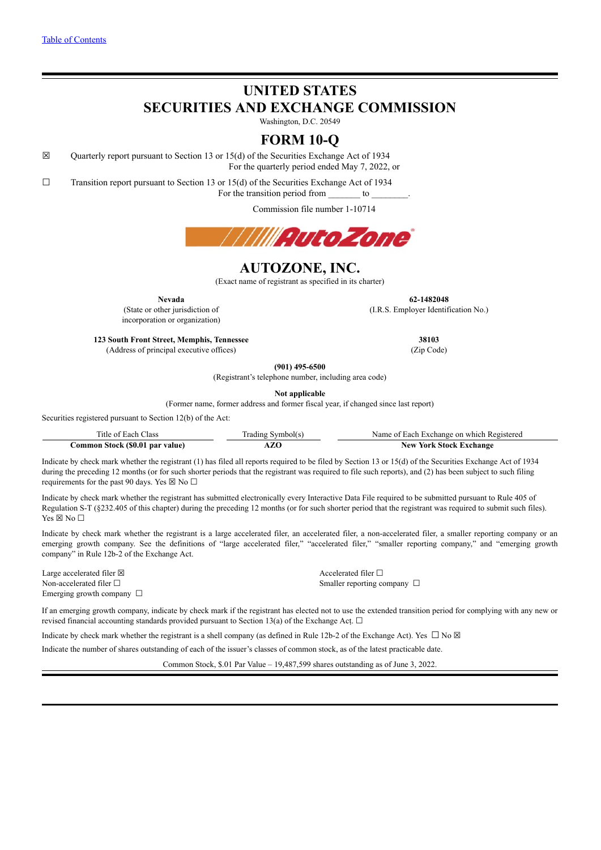# **UNITED STATES**

**SECURITIES AND EXCHANGE COMMISSION**

Washington, D.C. 20549

# **FORM 10-Q**

☒ Quarterly report pursuant to Section 13 or 15(d) of the Securities Exchange Act of 1934 For the quarterly period ended May 7, 2022, or

 $\Box$  Transition report pursuant to Section 13 or 15(d) of the Securities Exchange Act of 1934

For the transition period from \_\_\_\_\_\_\_\_\_ to \_

Commission file number 1-10714



# **AUTOZONE, INC.**

(Exact name of registrant as specified in its charter)

incorporation or organization)

**Nevada 62-1482048** (State or other jurisdiction of (I.R.S. Employer Identification No.)

**123 South Front Street, Memphis, Tennessee 38103** (Address of principal executive offices) (Zip Code)

**(901) 495-6500**

(Registrant's telephone number, including area code)

**Not applicable**

(Former name, former address and former fiscal year, if changed since last report)

Securities registered pursuant to Section 12(b) of the Act:

| Title of Each                   | Symbol(s | <sup>1</sup> Each Exchange on which Registered |
|---------------------------------|----------|------------------------------------------------|
| lass                            | radıng   | Name of                                        |
| Common Stock (\$0.01 par value) |          | York Stock Exchange<br>New '                   |

Indicate by check mark whether the registrant (1) has filed all reports required to be filed by Section 13 or 15(d) of the Securities Exchange Act of 1934 during the preceding 12 months (or for such shorter periods that the registrant was required to file such reports), and (2) has been subject to such filing requirements for the past 90 days. Yes  $\boxtimes$  No  $\Box$ 

Indicate by check mark whether the registrant has submitted electronically every Interactive Data File required to be submitted pursuant to Rule 405 of Regulation S-T (§232.405 of this chapter) during the preceding 12 months (or for such shorter period that the registrant was required to submit such files). Yes ⊠ No □

Indicate by check mark whether the registrant is a large accelerated filer, an accelerated filer, a non-accelerated filer, a smaller reporting company or an emerging growth company. See the definitions of "large accelerated filer," "accelerated filer," "smaller reporting company," and "emerging growth company" in Rule 12b-2 of the Exchange Act.

Large accelerated filer ⊠ and the set of the set of the set of the set of the set of the set of the set of the set of the set of the set of the set of the set of the set of the set of the set of the set of the set of the Non-accelerated filer □ smaller reporting company □ Emerging growth company □

If an emerging growth company, indicate by check mark if the registrant has elected not to use the extended transition period for complying with any new or revised financial accounting standards provided pursuant to Section 13(a) of the Exchange Act.  $\Box$ 

Indicate by check mark whether the registrant is a shell company (as defined in Rule 12b-2 of the Exchange Act). Yes  $\Box$  No  $\boxtimes$ 

Indicate the number of shares outstanding of each of the issuer's classes of common stock, as of the latest practicable date.

Common Stock, \$.01 Par Value – 19,487,599 shares outstanding as of June 3, 2022.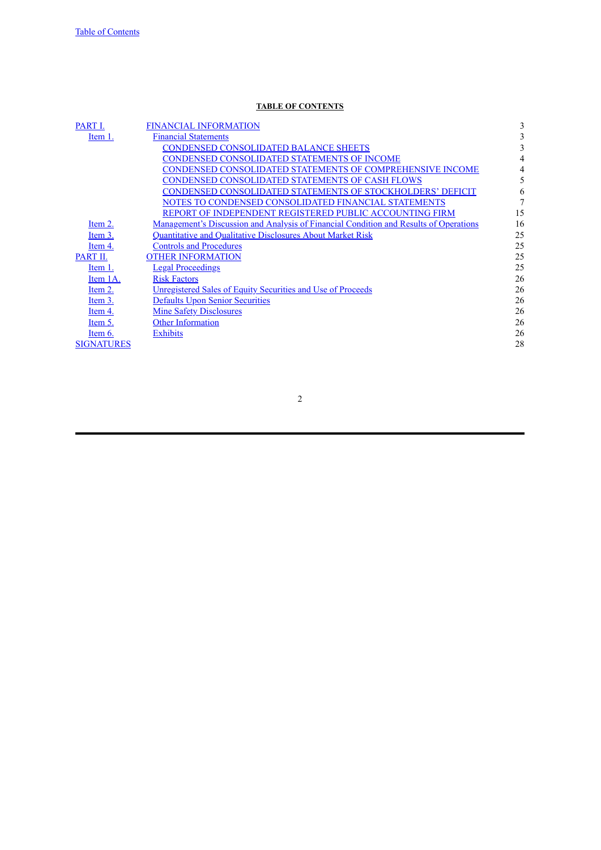# **TABLE OF CONTENTS**

<span id="page-1-0"></span>

| PART I.           | <b>FINANCIAL INFORMATION</b>                                                          | 3  |
|-------------------|---------------------------------------------------------------------------------------|----|
| Item 1.           | <b>Financial Statements</b>                                                           | 3  |
|                   | <b>CONDENSED CONSOLIDATED BALANCE SHEETS</b>                                          | 3  |
|                   | CONDENSED CONSOLIDATED STATEMENTS OF INCOME                                           | 4  |
|                   | CONDENSED CONSOLIDATED STATEMENTS OF COMPREHENSIVE INCOME                             | 4  |
|                   | CONDENSED CONSOLIDATED STATEMENTS OF CASH FLOWS                                       | 5  |
|                   | CONDENSED CONSOLIDATED STATEMENTS OF STOCKHOLDERS' DEFICIT                            | 6  |
|                   | NOTES TO CONDENSED CONSOLIDATED FINANCIAL STATEMENTS                                  | 7  |
|                   | REPORT OF INDEPENDENT REGISTERED PUBLIC ACCOUNTING FIRM                               | 15 |
| Item 2.           | Management's Discussion and Analysis of Financial Condition and Results of Operations | 16 |
| Item 3.           | <b>Quantitative and Qualitative Disclosures About Market Risk</b>                     | 25 |
| Item 4.           | <b>Controls and Procedures</b>                                                        | 25 |
| PART II.          | <b>OTHER INFORMATION</b>                                                              | 25 |
| Item 1.           | <b>Legal Proceedings</b>                                                              | 25 |
| Item 1A.          | <b>Risk Factors</b>                                                                   | 26 |
| Item 2.           | <b>Unregistered Sales of Equity Securities and Use of Proceeds</b>                    | 26 |
| Item 3.           | <b>Defaults Upon Senior Securities</b>                                                | 26 |
| Item 4.           | <b>Mine Safety Disclosures</b>                                                        | 26 |
| Item 5.           | Other Information                                                                     | 26 |
| Item 6.           | <b>Exhibits</b>                                                                       | 26 |
| <b>SIGNATURES</b> |                                                                                       | 28 |
|                   |                                                                                       |    |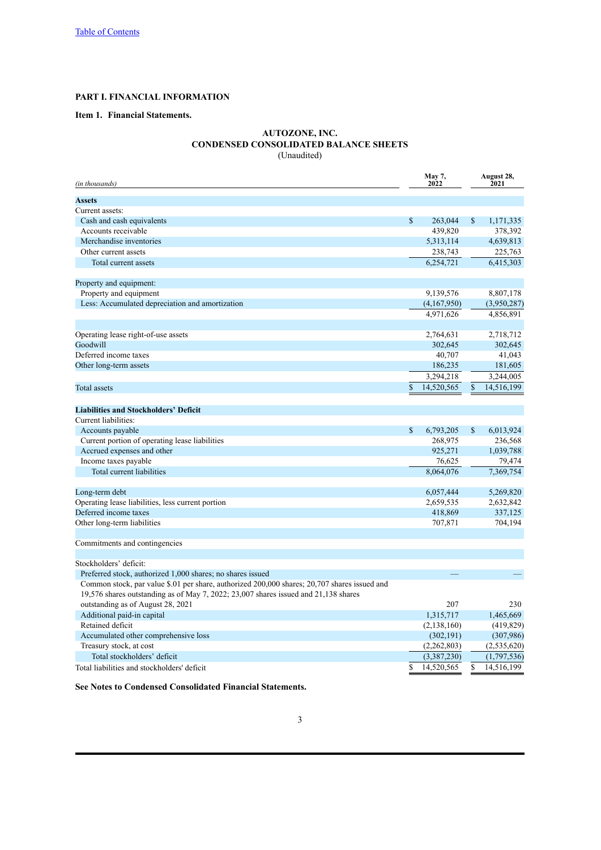# <span id="page-2-0"></span>**PART I. FINANCIAL INFORMATION**

# <span id="page-2-2"></span><span id="page-2-1"></span>**Item 1. Financial Statements.**

# **AUTOZONE, INC. CONDENSED CONSOLIDATED BALANCE SHEETS** (Unaudited)

| (in thousands)                                                                               |    | May 7,<br>2022 | August 28,<br>2021 |               |  |  |
|----------------------------------------------------------------------------------------------|----|----------------|--------------------|---------------|--|--|
| <b>Assets</b>                                                                                |    |                |                    |               |  |  |
| Current assets:                                                                              |    |                |                    |               |  |  |
| Cash and cash equivalents                                                                    | \$ | 263,044        | \$                 | 1,171,335     |  |  |
| Accounts receivable                                                                          |    | 439,820        |                    | 378,392       |  |  |
| Merchandise inventories                                                                      |    | 5,313,114      |                    | 4,639,813     |  |  |
| Other current assets                                                                         |    | 238,743        |                    | 225,763       |  |  |
| Total current assets                                                                         |    | 6,254,721      |                    | 6,415,303     |  |  |
| Property and equipment:                                                                      |    |                |                    |               |  |  |
| Property and equipment                                                                       |    | 9,139,576      |                    | 8,807,178     |  |  |
| Less: Accumulated depreciation and amortization                                              |    | (4,167,950)    |                    | (3,950,287)   |  |  |
|                                                                                              |    | 4,971,626      |                    | 4,856,891     |  |  |
| Operating lease right-of-use assets                                                          |    | 2,764,631      |                    | 2,718,712     |  |  |
| Goodwill                                                                                     |    | 302,645        |                    | 302,645       |  |  |
| Deferred income taxes                                                                        |    | 40,707         |                    | 41,043        |  |  |
| Other long-term assets                                                                       |    | 186,235        |                    | 181,605       |  |  |
|                                                                                              |    | 3,294,218      |                    | 3,244,005     |  |  |
|                                                                                              |    |                |                    |               |  |  |
| Total assets                                                                                 | \$ | 14,520,565     | $\mathbb{S}$       | 14,516,199    |  |  |
| <b>Liabilities and Stockholders' Deficit</b>                                                 |    |                |                    |               |  |  |
| Current liabilities:                                                                         |    |                |                    |               |  |  |
| Accounts payable                                                                             | \$ | 6,793,205      | \$                 | 6,013,924     |  |  |
| Current portion of operating lease liabilities                                               |    | 268,975        |                    | 236,568       |  |  |
| Accrued expenses and other                                                                   |    | 925,271        |                    | 1,039,788     |  |  |
| Income taxes payable                                                                         |    | 76,625         |                    | 79,474        |  |  |
| Total current liabilities                                                                    |    | 8,064,076      |                    | 7,369,754     |  |  |
| Long-term debt                                                                               |    | 6,057,444      |                    | 5,269,820     |  |  |
| Operating lease liabilities, less current portion                                            |    | 2,659,535      |                    | 2,632,842     |  |  |
| Deferred income taxes                                                                        |    | 418,869        |                    | 337,125       |  |  |
| Other long-term liabilities                                                                  |    | 707,871        |                    | 704,194       |  |  |
| Commitments and contingencies                                                                |    |                |                    |               |  |  |
|                                                                                              |    |                |                    |               |  |  |
| Stockholders' deficit:                                                                       |    |                |                    |               |  |  |
| Preferred stock, authorized 1,000 shares; no shares issued                                   |    |                |                    |               |  |  |
| Common stock, par value \$.01 per share, authorized 200,000 shares; 20,707 shares issued and |    |                |                    |               |  |  |
| 19,576 shares outstanding as of May 7, 2022; 23,007 shares issued and $21,138$ shares        |    |                |                    |               |  |  |
| outstanding as of August 28, 2021                                                            |    | 207            |                    | 230           |  |  |
| Additional paid-in capital                                                                   |    | 1,315,717      |                    | 1,465,669     |  |  |
| Retained deficit                                                                             |    | (2,138,160)    |                    | (419, 829)    |  |  |
| Accumulated other comprehensive loss                                                         |    | (302, 191)     |                    | (307,986)     |  |  |
| Treasury stock, at cost                                                                      |    | (2,262,803)    |                    | (2, 535, 620) |  |  |
| Total stockholders' deficit                                                                  |    | (3,387,230)    |                    | (1,797,536)   |  |  |
| Total liabilities and stockholders' deficit                                                  | \$ | 14,520,565     | \$                 | 14,516,199    |  |  |
|                                                                                              |    |                |                    |               |  |  |

**See Notes to Condensed Consolidated Financial Statements.**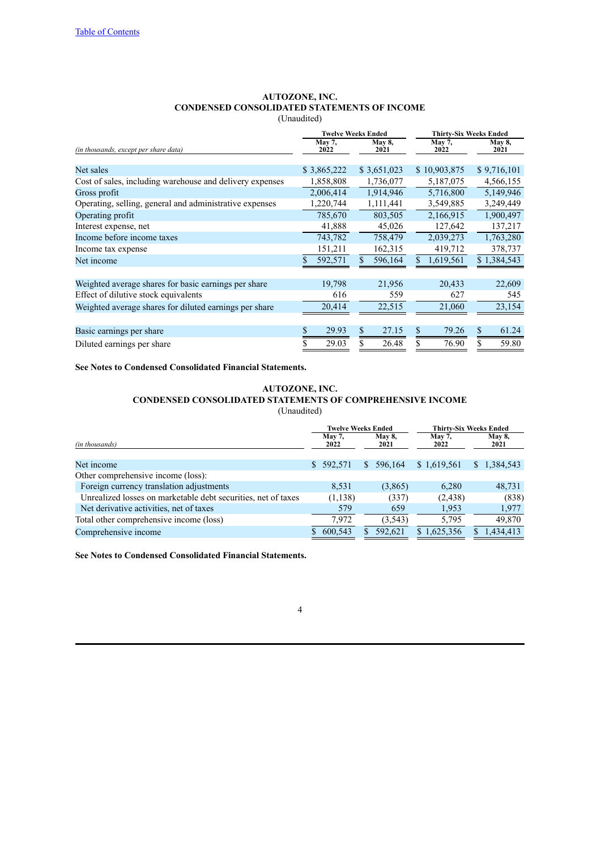# **AUTOZONE, INC. CONDENSED CONSOLIDATED STATEMENTS OF INCOME** (Unaudited)

<span id="page-3-0"></span>

|                                                          |                | <b>Twelve Weeks Ended</b> | <b>Thirty-Six Weeks Ended</b> |                       |  |  |  |
|----------------------------------------------------------|----------------|---------------------------|-------------------------------|-----------------------|--|--|--|
| (in thousands, except per share data)                    | May 7,<br>2022 | May 8,<br>2021            | May 7,<br>2022                | <b>May 8,</b><br>2021 |  |  |  |
|                                                          |                |                           |                               |                       |  |  |  |
| Net sales                                                | \$3,865,222    | \$3,651,023               | \$10,903,875                  | \$9,716,101           |  |  |  |
| Cost of sales, including warehouse and delivery expenses | 1,858,808      | 1,736,077                 | 5,187,075                     | 4,566,155             |  |  |  |
| Gross profit                                             | 2,006,414      | 1,914,946                 | 5,716,800                     | 5,149,946             |  |  |  |
| Operating, selling, general and administrative expenses  | 1,220,744      | 1,111,441                 | 3,549,885                     | 3,249,449             |  |  |  |
| Operating profit                                         | 785,670        | 803,505                   | 2,166,915                     | 1,900,497             |  |  |  |
| Interest expense, net                                    | 41,888         | 45,026                    | 127,642                       | 137,217               |  |  |  |
| Income before income taxes                               | 743,782        | 758,479                   | 2,039,273                     | 1,763,280             |  |  |  |
| Income tax expense                                       | 151,211        | 162,315                   | 419,712                       | 378,737               |  |  |  |
| Net income                                               | 592,571        | 596,164                   | 1,619,561<br>S.               | \$1,384,543           |  |  |  |
|                                                          |                |                           |                               |                       |  |  |  |
| Weighted average shares for basic earnings per share     | 19,798         | 21,956                    | 20,433                        | 22,609                |  |  |  |
| Effect of dilutive stock equivalents                     | 616            | 559                       | 627                           | 545                   |  |  |  |
| Weighted average shares for diluted earnings per share   | 20,414         | 22,515                    | 21,060                        | 23,154                |  |  |  |
|                                                          |                |                           |                               |                       |  |  |  |
| Basic earnings per share                                 | \$<br>29.93    | \$<br>27.15               | 79.26<br>\$                   | 61.24<br>\$           |  |  |  |
| Diluted earnings per share                               | \$<br>29.03    | \$<br>26.48               | 76.90                         | \$<br>59.80           |  |  |  |

**See Notes to Condensed Consolidated Financial Statements.**

# **AUTOZONE, INC. CONDENSED CONSOLIDATED STATEMENTS OF COMPREHENSIVE INCOME** (Unaudited)

<span id="page-3-1"></span>

|                                                               |                       | <b>Twelve Weeks Ended</b> | <b>Thirty-Six Weeks Ended</b> |                       |  |  |
|---------------------------------------------------------------|-----------------------|---------------------------|-------------------------------|-----------------------|--|--|
| (in thousands)                                                | <b>May 7,</b><br>2022 | May 8,<br>2021            | <b>May 7,</b><br>2022         | <b>May 8,</b><br>2021 |  |  |
| Net income                                                    | \$592,571             | 596.164<br>S.             | \$1,619,561                   | 1,384,543<br>S.       |  |  |
| Other comprehensive income (loss):                            |                       |                           |                               |                       |  |  |
| Foreign currency translation adjustments                      | 8,531                 | (3,865)                   | 6.280                         | 48,731                |  |  |
| Unrealized losses on marketable debt securities, net of taxes | (1,138)               | (337)                     | (2, 438)                      | (838)                 |  |  |
| Net derivative activities, net of taxes                       | 579                   | 659                       | 1,953                         | 1,977                 |  |  |
| Total other comprehensive income (loss)                       | 7,972                 | (3,543)                   | 5,795                         | 49,870                |  |  |
| Comprehensive income                                          | 600,543               | 592.621                   | \$1,625,356                   | .434,413              |  |  |

**See Notes to Condensed Consolidated Financial Statements.**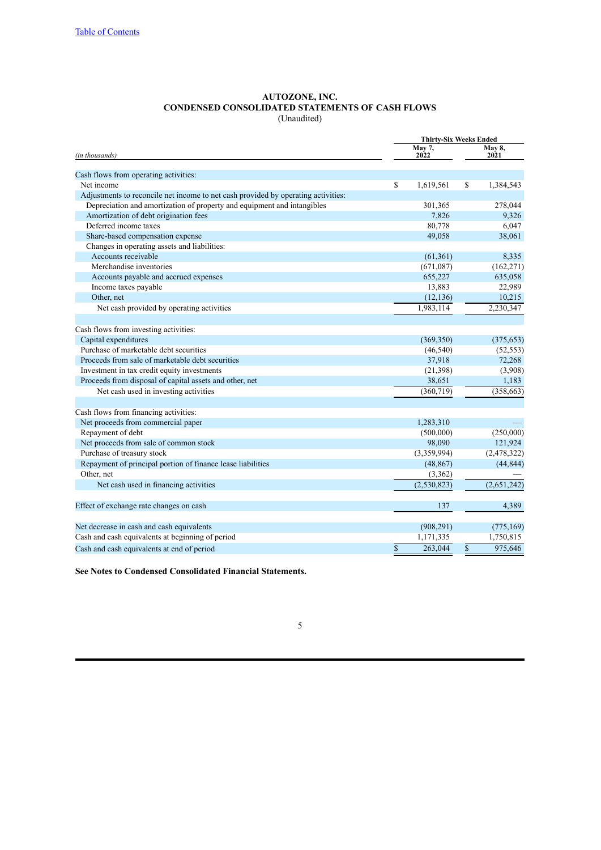#### **AUTOZONE, INC. CONDENSED CONSOLIDATED STATEMENTS OF CASH FLOWS** (Unaudited)

<span id="page-4-0"></span>

|                                                                                   | <b>Thirty-Six Weeks Ended</b> |                |             |                       |  |  |  |  |
|-----------------------------------------------------------------------------------|-------------------------------|----------------|-------------|-----------------------|--|--|--|--|
| (in thousands)                                                                    |                               | May 7,<br>2022 |             | <b>May 8,</b><br>2021 |  |  |  |  |
| Cash flows from operating activities:                                             |                               |                |             |                       |  |  |  |  |
| Net income                                                                        | $\mathbf S$                   | 1,619,561      | S           | 1,384,543             |  |  |  |  |
| Adjustments to reconcile net income to net cash provided by operating activities: |                               |                |             |                       |  |  |  |  |
| Depreciation and amortization of property and equipment and intangibles           |                               | 301,365        |             | 278,044               |  |  |  |  |
| Amortization of debt origination fees                                             |                               | 7,826          |             | 9,326                 |  |  |  |  |
| Deferred income taxes                                                             |                               | 80,778         |             | 6,047                 |  |  |  |  |
|                                                                                   |                               |                |             |                       |  |  |  |  |
| Share-based compensation expense                                                  |                               | 49,058         |             | 38,061                |  |  |  |  |
| Changes in operating assets and liabilities:                                      |                               |                |             |                       |  |  |  |  |
| Accounts receivable                                                               |                               | (61, 361)      |             | 8,335                 |  |  |  |  |
| Merchandise inventories                                                           |                               | (671,087)      |             | (162, 271)            |  |  |  |  |
| Accounts payable and accrued expenses                                             |                               | 655,227        |             | 635,058               |  |  |  |  |
| Income taxes payable                                                              |                               | 13,883         |             | 22,989                |  |  |  |  |
| Other, net                                                                        |                               | (12, 136)      |             | 10,215                |  |  |  |  |
| Net cash provided by operating activities                                         |                               | 1,983,114      |             | 2,230,347             |  |  |  |  |
| Cash flows from investing activities:                                             |                               |                |             |                       |  |  |  |  |
| Capital expenditures                                                              |                               | (369, 350)     |             | (375, 653)            |  |  |  |  |
| Purchase of marketable debt securities                                            |                               | (46, 540)      |             | (52, 553)             |  |  |  |  |
| Proceeds from sale of marketable debt securities                                  |                               | 37,918         |             | 72,268                |  |  |  |  |
| Investment in tax credit equity investments                                       |                               | (21, 398)      |             | (3,908)               |  |  |  |  |
| Proceeds from disposal of capital assets and other, net                           |                               | 38,651         |             | 1,183                 |  |  |  |  |
| Net cash used in investing activities                                             |                               | (360, 719)     |             | (358, 663)            |  |  |  |  |
| Cash flows from financing activities:                                             |                               |                |             |                       |  |  |  |  |
| Net proceeds from commercial paper                                                |                               | 1,283,310      |             |                       |  |  |  |  |
| Repayment of debt                                                                 |                               | (500,000)      |             | (250,000)             |  |  |  |  |
| Net proceeds from sale of common stock                                            |                               | 98,090         |             | 121,924               |  |  |  |  |
| Purchase of treasury stock                                                        |                               | (3,359,994)    |             | (2, 478, 322)         |  |  |  |  |
| Repayment of principal portion of finance lease liabilities                       |                               | (48, 867)      |             | (44, 844)             |  |  |  |  |
| Other, net                                                                        |                               | (3,362)        |             |                       |  |  |  |  |
| Net cash used in financing activities                                             |                               | (2,530,823)    |             | (2,651,242)           |  |  |  |  |
|                                                                                   |                               |                |             |                       |  |  |  |  |
| Effect of exchange rate changes on cash                                           |                               | 137            |             | 4,389                 |  |  |  |  |
| Net decrease in cash and cash equivalents                                         |                               | (908, 291)     |             | (775, 169)            |  |  |  |  |
| Cash and cash equivalents at beginning of period                                  |                               | 1,171,335      |             | 1,750,815             |  |  |  |  |
| Cash and cash equivalents at end of period                                        | $\mathbf S$                   | 263,044        | $\mathbf S$ | 975,646               |  |  |  |  |

**See Notes to Condensed Consolidated Financial Statements.**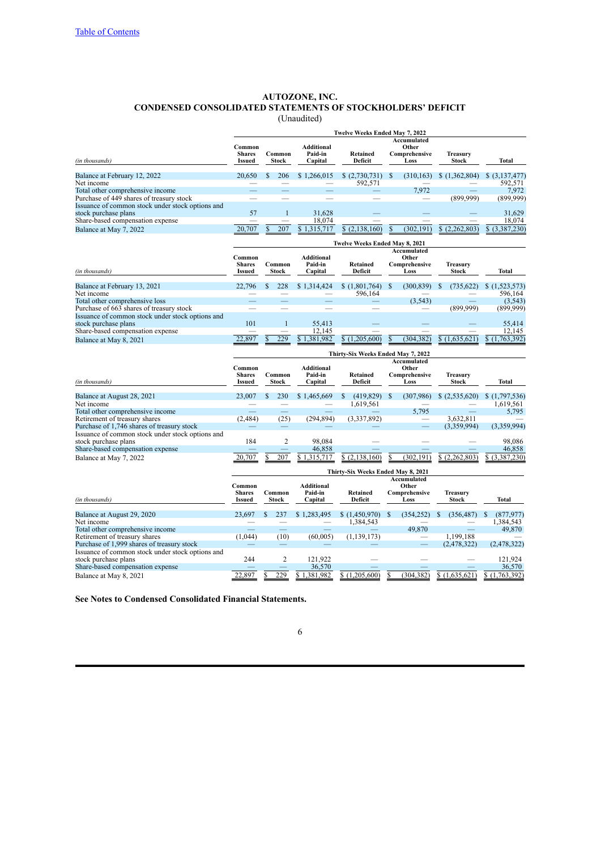# **AUTOZONE, INC. CONDENSED CONSOLIDATED STATEMENTS OF STOCKHOLDERS' DEFICIT** (Unaudited)

|  | Jnaudited) |  |
|--|------------|--|
|  |            |  |

<span id="page-5-0"></span>

|                                                                                              |                                    |    |                        |                              | Twelve Weeks Ended May 7, 2022     |              |                          |                                 |                           |  |  |  |  |  |
|----------------------------------------------------------------------------------------------|------------------------------------|----|------------------------|------------------------------|------------------------------------|--------------|--------------------------|---------------------------------|---------------------------|--|--|--|--|--|
|                                                                                              |                                    |    |                        |                              |                                    |              | Accumulated              |                                 |                           |  |  |  |  |  |
|                                                                                              | Common                             |    |                        | <b>Additional</b>            |                                    |              | Other                    |                                 |                           |  |  |  |  |  |
| (in thousands)                                                                               | <b>Shares</b><br><b>Issued</b>     |    | Common<br><b>Stock</b> | Paid-in<br>Capital           | Retained<br>Deficit                |              | Comprehensive<br>Loss    | Treasury<br><b>Stock</b>        | <b>Total</b>              |  |  |  |  |  |
| Balance at February 12, 2022<br>Net income                                                   | 20.650                             | \$ | 206                    | \$1,266,015                  | (2,730,731)<br>592,571             | $\mathbf{s}$ | (310, 163)               | \$(1,362,804)                   | \$ (3,137,477)<br>592.571 |  |  |  |  |  |
| Total other comprehensive income                                                             |                                    |    |                        |                              |                                    |              | 7,972                    |                                 | 7,972                     |  |  |  |  |  |
| Purchase of 449 shares of treasury stock                                                     |                                    |    |                        |                              |                                    |              |                          | (899, 999)                      | (899, 999)                |  |  |  |  |  |
| Issuance of common stock under stock options and                                             |                                    |    |                        |                              |                                    |              |                          |                                 |                           |  |  |  |  |  |
| stock purchase plans<br>Share-based compensation expense                                     | 57                                 |    | $\mathbf{1}$           | 31,628<br>18,074             |                                    |              |                          |                                 | 31,629<br>18,074          |  |  |  |  |  |
| Balance at May 7, 2022                                                                       | 20.707                             | \$ | 207                    | \$1,315,717                  | (2, 138, 160)<br>\$                | \$           | (302, 191)               | \$<br>(2,262,803)               | \$ (3,387,230)            |  |  |  |  |  |
|                                                                                              | Twelve Weeks Ended May 8, 2021     |    |                        |                              |                                    |              |                          |                                 |                           |  |  |  |  |  |
|                                                                                              | Common                             |    |                        | <b>Additional</b>            |                                    |              | Accumulated<br>Other     |                                 |                           |  |  |  |  |  |
|                                                                                              | <b>Shares</b>                      |    | Common                 | Paid-in                      | Retained                           |              | Comprehensive            | <b>Treasury</b>                 |                           |  |  |  |  |  |
| (in thousands)                                                                               | <b>Issued</b>                      |    | Stock                  | Capital                      | Deficit                            |              | Loss                     | <b>Stock</b>                    | Total                     |  |  |  |  |  |
|                                                                                              |                                    |    |                        |                              |                                    |              |                          |                                 |                           |  |  |  |  |  |
| Balance at February 13, 2021                                                                 | 22,796                             |    | 228                    | \$1,314,424                  | \$(1,801,764)                      | S            | (300, 839)               | (735, 622)                      | \$(1,523,573)             |  |  |  |  |  |
| Net income                                                                                   |                                    |    |                        |                              | 596,164                            |              |                          |                                 | 596,164                   |  |  |  |  |  |
| Total other comprehensive loss                                                               |                                    |    |                        |                              |                                    |              | (3, 543)                 |                                 | (3,543)                   |  |  |  |  |  |
| Purchase of 663 shares of treasury stock<br>Issuance of common stock under stock options and |                                    |    |                        |                              |                                    |              |                          | (899.999)                       | (899,999)                 |  |  |  |  |  |
| stock purchase plans                                                                         | 101                                |    | $\mathbf{1}$           | 55,413                       |                                    |              |                          |                                 | 55,414                    |  |  |  |  |  |
| Share-based compensation expense                                                             |                                    |    |                        | 12,145                       |                                    |              |                          |                                 | 12,145                    |  |  |  |  |  |
| Balance at May 8, 2021                                                                       | 897                                |    | 229                    | 381.982                      | (1,205)<br>\$<br>600               | \$           | (304, 382)               | \$<br>(1,635,621)               | \$<br>(763, 392)<br>(1)   |  |  |  |  |  |
|                                                                                              |                                    |    |                        |                              |                                    |              |                          |                                 |                           |  |  |  |  |  |
|                                                                                              | Thirty-Six Weeks Ended May 7, 2022 |    |                        |                              |                                    |              |                          |                                 |                           |  |  |  |  |  |
|                                                                                              |                                    |    |                        |                              |                                    |              | <b>Accumulated</b>       |                                 |                           |  |  |  |  |  |
|                                                                                              | Common<br><b>Shares</b>            |    | Common                 | <b>Additional</b><br>Paid-in | <b>Retained</b>                    |              | Other                    |                                 |                           |  |  |  |  |  |
| (in thousands)                                                                               | <b>Issued</b>                      |    | <b>Stock</b>           | Capital                      | Deficit                            |              | Comprehensive<br>Loss    | <b>Treasury</b><br><b>Stock</b> | Total                     |  |  |  |  |  |
| Balance at August 28, 2021                                                                   | 23,007                             | \$ | 230                    | \$1,465,669                  | \$<br>(419, 829)                   | S            | (307, 986)               | \$(2,535,620)                   | \$(1,797,536)             |  |  |  |  |  |
| Net income                                                                                   |                                    |    |                        |                              | 1,619,561                          |              |                          |                                 | 1,619,561                 |  |  |  |  |  |
| Total other comprehensive income                                                             |                                    |    |                        |                              |                                    |              | 5,795                    |                                 | 5,795                     |  |  |  |  |  |
| Retirement of treasury shares                                                                | (2,484)                            |    | (25)                   | (294, 894)                   | (3,337,892)                        |              | $\overline{\phantom{0}}$ | 3,632,811                       |                           |  |  |  |  |  |
| Purchase of 1,746 shares of treasury stock                                                   |                                    |    |                        |                              |                                    |              |                          | (3,359,994)                     | (3,359,994)               |  |  |  |  |  |
| Issuance of common stock under stock options and                                             |                                    |    |                        |                              |                                    |              |                          |                                 |                           |  |  |  |  |  |
| stock purchase plans                                                                         | 184                                |    | $\overline{c}$         | 98.084                       |                                    |              |                          |                                 | 98.086                    |  |  |  |  |  |
| Share-based compensation expense                                                             |                                    |    |                        | 46,858                       |                                    |              |                          |                                 | 46.858                    |  |  |  |  |  |
| Balance at May 7, 2022                                                                       | 20,707                             |    | 207                    | \$1,315,717                  | (2,138,160)<br>\$                  |              | (302, 191)               | (2,262,803)<br>S                | (3,387,230)<br>\$         |  |  |  |  |  |
|                                                                                              |                                    |    |                        |                              | Thirty-Six Weeks Ended May 8, 2021 |              |                          |                                 |                           |  |  |  |  |  |
|                                                                                              |                                    |    |                        |                              |                                    |              | <b>Accumulated</b>       |                                 |                           |  |  |  |  |  |
|                                                                                              | Common                             |    |                        | <b>Additional</b>            |                                    |              | Other                    |                                 |                           |  |  |  |  |  |
| (in thousands)                                                                               | <b>Shares</b><br><b>Issued</b>     |    | Common<br><b>Stock</b> | Paid-in<br>Capital           | <b>Retained</b><br>Deficit         |              | Comprehensive<br>Loss    | Treasurv<br><b>Stock</b>        | <b>Total</b>              |  |  |  |  |  |
|                                                                                              |                                    |    |                        |                              |                                    |              |                          |                                 |                           |  |  |  |  |  |
| Balance at August 29, 2020                                                                   | 23.697                             | S  | 237                    | \$1.283.495                  | \$(1,450,970)                      | \$.          | (354, 252)               | (356, 487)                      | (877, 977)<br>\$.         |  |  |  |  |  |
| Net income                                                                                   |                                    |    |                        |                              | 1,384,543                          |              |                          |                                 | 1,384,543                 |  |  |  |  |  |
| Total other comprehensive income                                                             |                                    |    |                        |                              |                                    |              | 49,870                   |                                 | 49,870                    |  |  |  |  |  |
| Retirement of treasury shares                                                                | (1,044)                            |    | (10)                   | (60,005)                     | (1, 139, 173)                      |              |                          | 1,199,188                       |                           |  |  |  |  |  |
| Purchase of 1,999 shares of treasury stock                                                   |                                    |    |                        |                              |                                    |              |                          | (2,478,322)                     | (2,478,322)               |  |  |  |  |  |
| Issuance of common stock under stock options and                                             |                                    |    |                        |                              |                                    |              |                          |                                 |                           |  |  |  |  |  |
| stock purchase plans                                                                         | 244                                |    | $\overline{2}$         | 121.922                      |                                    |              |                          |                                 | 121,924                   |  |  |  |  |  |
| Share-based compensation expense                                                             |                                    |    |                        | 36,570                       |                                    |              |                          |                                 | 36,570                    |  |  |  |  |  |
| Balance at May 8, 2021                                                                       | 22.897                             |    | 229                    | 381.982                      | (1.205.600)<br>\$                  |              | 382)<br>(304)            | \$(1,635,621)                   | .763.392<br>\$            |  |  |  |  |  |

**See Notes to Condensed Consolidated Financial Statements.**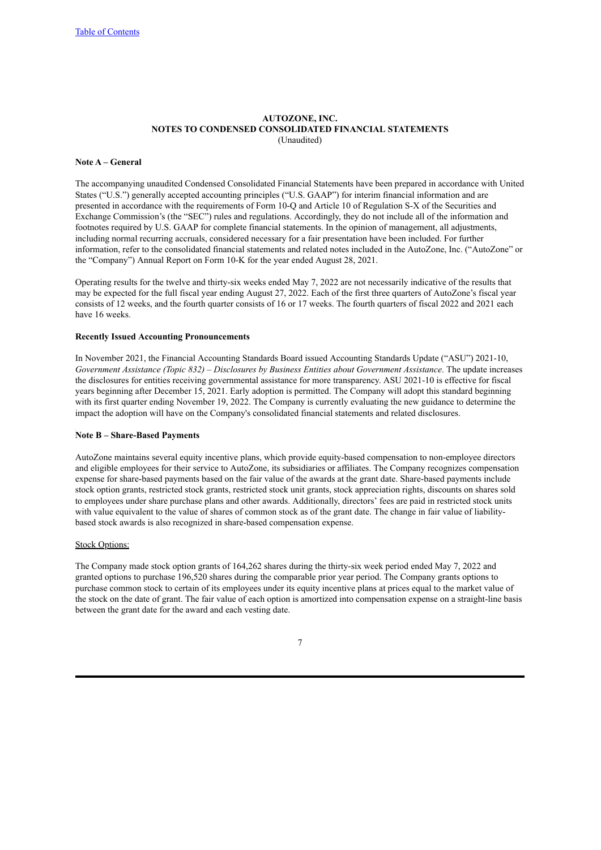#### **AUTOZONE, INC. NOTES TO CONDENSED CONSOLIDATED FINANCIAL STATEMENTS** (Unaudited)

#### <span id="page-6-0"></span>**Note A – General**

The accompanying unaudited Condensed Consolidated Financial Statements have been prepared in accordance with United States ("U.S.") generally accepted accounting principles ("U.S. GAAP") for interim financial information and are presented in accordance with the requirements of Form 10-Q and Article 10 of Regulation S-X of the Securities and Exchange Commission's (the "SEC") rules and regulations. Accordingly, they do not include all of the information and footnotes required by U.S. GAAP for complete financial statements. In the opinion of management, all adjustments, including normal recurring accruals, considered necessary for a fair presentation have been included. For further information, refer to the consolidated financial statements and related notes included in the AutoZone, Inc. ("AutoZone" or the "Company") Annual Report on Form 10-K for the year ended August 28, 2021.

Operating results for the twelve and thirty-six weeks ended May 7, 2022 are not necessarily indicative of the results that may be expected for the full fiscal year ending August 27, 2022. Each of the first three quarters of AutoZone's fiscal year consists of 12 weeks, and the fourth quarter consists of 16 or 17 weeks. The fourth quarters of fiscal 2022 and 2021 each have 16 weeks.

### **Recently Issued Accounting Pronouncements**

In November 2021, the Financial Accounting Standards Board issued Accounting Standards Update ("ASU") 2021-10, *Government Assistance (Topic 832) – Disclosures by Business Entities about Government Assistance*. The update increases the disclosures for entities receiving governmental assistance for more transparency. ASU 2021-10 is effective for fiscal years beginning after December 15, 2021. Early adoption is permitted. The Company will adopt this standard beginning with its first quarter ending November 19, 2022. The Company is currently evaluating the new guidance to determine the impact the adoption will have on the Company's consolidated financial statements and related disclosures.

#### **Note B – Share-Based Payments**

AutoZone maintains several equity incentive plans, which provide equity-based compensation to non-employee directors and eligible employees for their service to AutoZone, its subsidiaries or affiliates. The Company recognizes compensation expense for share-based payments based on the fair value of the awards at the grant date. Share-based payments include stock option grants, restricted stock grants, restricted stock unit grants, stock appreciation rights, discounts on shares sold to employees under share purchase plans and other awards. Additionally, directors' fees are paid in restricted stock units with value equivalent to the value of shares of common stock as of the grant date. The change in fair value of liabilitybased stock awards is also recognized in share-based compensation expense.

#### Stock Options:

The Company made stock option grants of 164,262 shares during the thirty-six week period ended May 7, 2022 and granted options to purchase 196,520 shares during the comparable prior year period. The Company grants options to purchase common stock to certain of its employees under its equity incentive plans at prices equal to the market value of the stock on the date of grant. The fair value of each option is amortized into compensation expense on a straight-line basis between the grant date for the award and each vesting date.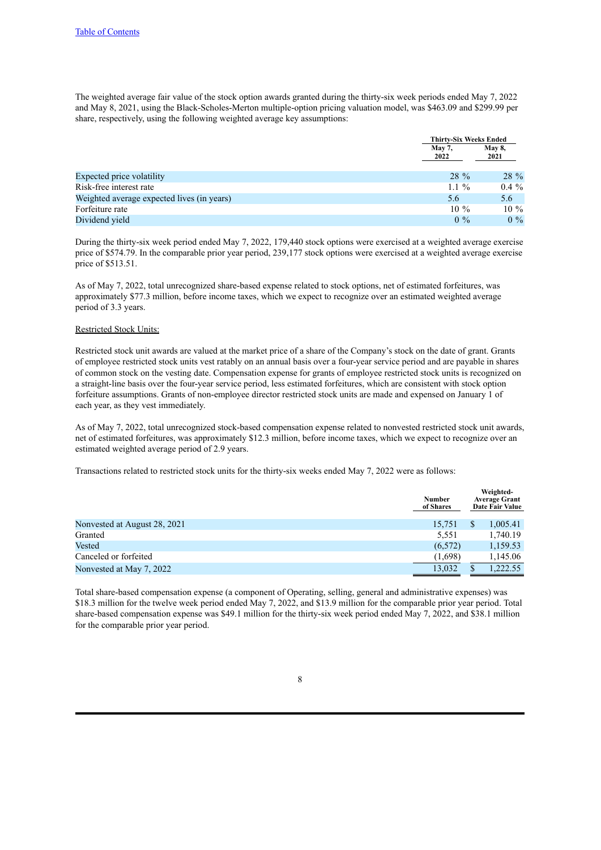The weighted average fair value of the stock option awards granted during the thirty-six week periods ended May 7, 2022 and May 8, 2021, using the Black-Scholes-Merton multiple-option pricing valuation model, was \$463.09 and \$299.99 per share, respectively, using the following weighted average key assumptions:

|                                            | <b>Thirty-Six Weeks Ended</b> |               |
|--------------------------------------------|-------------------------------|---------------|
|                                            | <b>May 7,</b>                 | <b>May 8,</b> |
|                                            | 2022                          | 2021          |
|                                            |                               |               |
| Expected price volatility                  | $28\%$                        | 28 %          |
| Risk-free interest rate                    | $1.1 \%$                      | $0.4\%$       |
| Weighted average expected lives (in years) | 5.6                           | 5.6           |
| Forfeiture rate                            | $10\%$                        | $10\%$        |
| Dividend yield                             | $0\%$                         | $0\%$         |

During the thirty-six week period ended May 7, 2022, 179,440 stock options were exercised at a weighted average exercise price of \$574.79. In the comparable prior year period, 239,177 stock options were exercised at a weighted average exercise price of \$513.51.

As of May 7, 2022, total unrecognized share-based expense related to stock options, net of estimated forfeitures, was approximately \$77.3 million, before income taxes, which we expect to recognize over an estimated weighted average period of 3.3 years.

#### Restricted Stock Units:

Restricted stock unit awards are valued at the market price of a share of the Company's stock on the date of grant. Grants of employee restricted stock units vest ratably on an annual basis over a four-year service period and are payable in shares of common stock on the vesting date. Compensation expense for grants of employee restricted stock units is recognized on a straight-line basis over the four-year service period, less estimated forfeitures, which are consistent with stock option forfeiture assumptions. Grants of non-employee director restricted stock units are made and expensed on January 1 of each year, as they vest immediately.

As of May 7, 2022, total unrecognized stock-based compensation expense related to nonvested restricted stock unit awards, net of estimated forfeitures, was approximately \$12.3 million, before income taxes, which we expect to recognize over an estimated weighted average period of 2.9 years.

Transactions related to restricted stock units for the thirty-six weeks ended May 7, 2022 were as follows:

|                              | <b>Number</b><br>of Shares |    | Weighted-<br><b>Average Grant</b><br>Date Fair Value |
|------------------------------|----------------------------|----|------------------------------------------------------|
| Nonvested at August 28, 2021 | 15,751                     | \$ | 1,005.41                                             |
| Granted                      | 5,551                      |    | 1,740.19                                             |
| Vested                       | (6,572)                    |    | 1,159.53                                             |
| Canceled or forfeited        | (1,698)                    |    | 1,145.06                                             |
| Nonvested at May 7, 2022     | 13,032                     | ъ  | 1.222.55                                             |

Total share-based compensation expense (a component of Operating, selling, general and administrative expenses) was \$18.3 million for the twelve week period ended May 7, 2022, and \$13.9 million for the comparable prior year period. Total share-based compensation expense was \$49.1 million for the thirty-six week period ended May 7, 2022, and \$38.1 million for the comparable prior year period.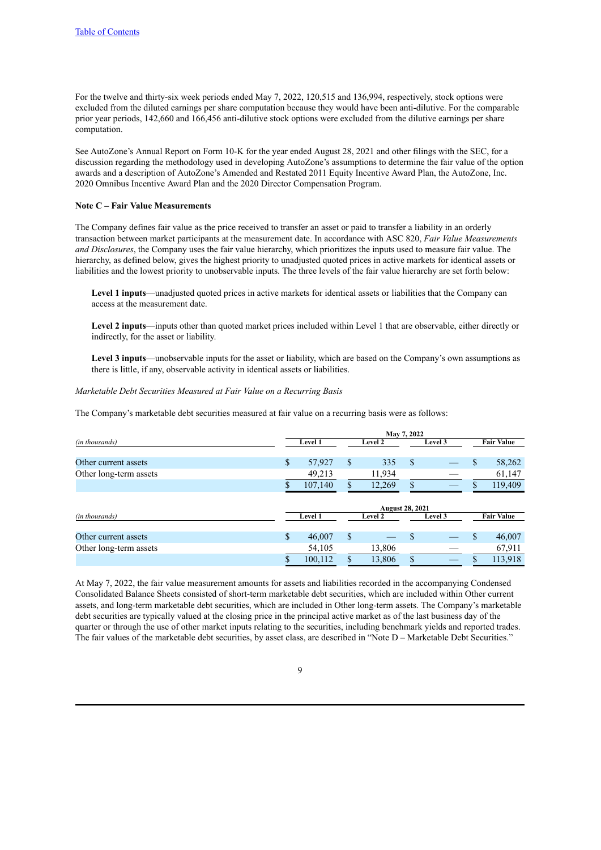For the twelve and thirty-six week periods ended May 7, 2022, 120,515 and 136,994, respectively, stock options were excluded from the diluted earnings per share computation because they would have been anti-dilutive. For the comparable prior year periods, 142,660 and 166,456 anti-dilutive stock options were excluded from the dilutive earnings per share computation.

See AutoZone's Annual Report on Form 10-K for the year ended August 28, 2021 and other filings with the SEC, for a discussion regarding the methodology used in developing AutoZone's assumptions to determine the fair value of the option awards and a description of AutoZone's Amended and Restated 2011 Equity Incentive Award Plan, the AutoZone, Inc. 2020 Omnibus Incentive Award Plan and the 2020 Director Compensation Program.

#### **Note C – Fair Value Measurements**

The Company defines fair value as the price received to transfer an asset or paid to transfer a liability in an orderly transaction between market participants at the measurement date. In accordance with ASC 820, *Fair Value Measurements and Disclosures*, the Company uses the fair value hierarchy, which prioritizes the inputs used to measure fair value. The hierarchy, as defined below, gives the highest priority to unadjusted quoted prices in active markets for identical assets or liabilities and the lowest priority to unobservable inputs. The three levels of the fair value hierarchy are set forth below:

**Level 1 inputs**—unadjusted quoted prices in active markets for identical assets or liabilities that the Company can access at the measurement date.

**Level 2 inputs**—inputs other than quoted market prices included within Level 1 that are observable, either directly or indirectly, for the asset or liability.

**Level 3 inputs**—unobservable inputs for the asset or liability, which are based on the Company's own assumptions as there is little, if any, observable activity in identical assets or liabilities.

#### *Marketable Debt Securities Measured at Fair Value on a Recurring Basis*

The Company's marketable debt securities measured at fair value on a recurring basis were as follows:

|                        | May 7, 2022 |                |               |         |                        |         |             |                   |  |  |  |
|------------------------|-------------|----------------|---------------|---------|------------------------|---------|-------------|-------------------|--|--|--|
| (in thousands)         |             | Level 1        | Level 2       |         | Level 3                |         |             | <b>Fair Value</b> |  |  |  |
|                        |             |                |               |         |                        |         |             |                   |  |  |  |
| Other current assets   | \$          | 57,927         | \$            | 335     | \$                     |         | $\mathbf S$ | 58,262            |  |  |  |
| Other long-term assets |             | 49,213         |               | 11,934  |                        |         |             | 61,147            |  |  |  |
|                        |             | 107,140        | \$            | 12,269  | \$                     |         | S           | 119,409           |  |  |  |
|                        |             |                |               |         |                        |         |             |                   |  |  |  |
|                        |             |                |               |         | <b>August 28, 2021</b> |         |             |                   |  |  |  |
| (in thousands)         |             | <b>Level 1</b> |               | Level 2 |                        | Level 3 |             | <b>Fair Value</b> |  |  |  |
| Other current assets   | \$          | 46,007         | <sup>\$</sup> |         | \$                     |         | \$          | 46,007            |  |  |  |
| Other long-term assets |             | 54,105         |               | 13,806  |                        |         |             | 67,911            |  |  |  |
|                        |             | 100,112        | \$            | 13,806  | \$                     |         | \$          | 113,918           |  |  |  |

At May 7, 2022, the fair value measurement amounts for assets and liabilities recorded in the accompanying Condensed Consolidated Balance Sheets consisted of short-term marketable debt securities, which are included within Other current assets, and long-term marketable debt securities, which are included in Other long-term assets. The Company's marketable debt securities are typically valued at the closing price in the principal active market as of the last business day of the quarter or through the use of other market inputs relating to the securities, including benchmark yields and reported trades. The fair values of the marketable debt securities, by asset class, are described in "Note D – Marketable Debt Securities."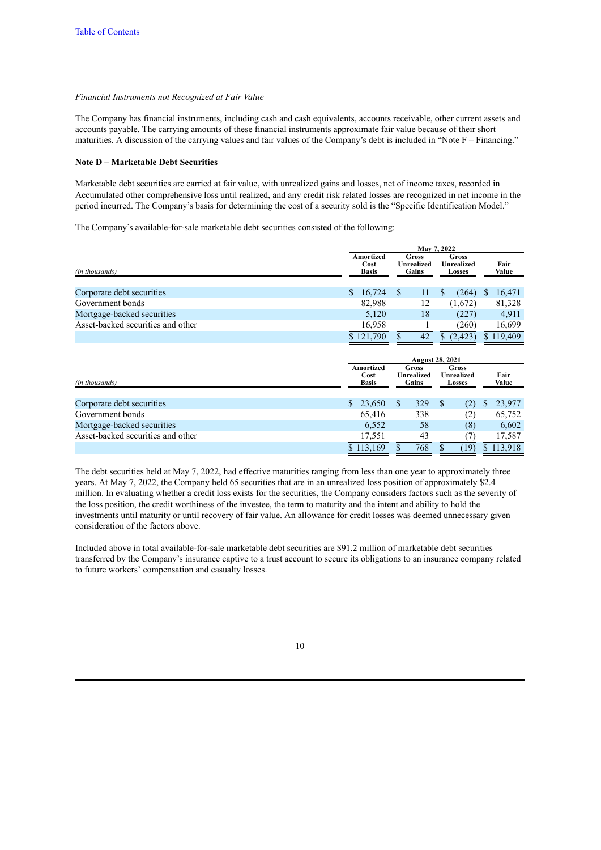#### *Financial Instruments not Recognized at Fair Value*

The Company has financial instruments, including cash and cash equivalents, accounts receivable, other current assets and accounts payable. The carrying amounts of these financial instruments approximate fair value because of their short maturities. A discussion of the carrying values and fair values of the Company's debt is included in "Note F – Financing."

# **Note D – Marketable Debt Securities**

Marketable debt securities are carried at fair value, with unrealized gains and losses, net of income taxes, recorded in Accumulated other comprehensive loss until realized, and any credit risk related losses are recognized in net income in the period incurred. The Company's basis for determining the cost of a security sold is the "Specific Identification Model."

The Company's available-for-sale marketable debt securities consisted of the following:

|                                   |                                   | May 7, 2022            |                                     |                               |   |               |  |  |
|-----------------------------------|-----------------------------------|------------------------|-------------------------------------|-------------------------------|---|---------------|--|--|
| (in thousands)                    | Amortized<br>Cost<br><b>Basis</b> |                        | <b>Gross</b><br>Unrealized<br>Gains | Gross<br>Unrealized<br>Losses |   | Fair<br>Value |  |  |
|                                   |                                   |                        |                                     |                               |   |               |  |  |
| Corporate debt securities         | $\mathbb{S}$<br>16,724            | <sup>S</sup>           | 11                                  | (264)<br>S                    | S | 16,471        |  |  |
| Government bonds                  | 82,988                            |                        | 12                                  | (1,672)                       |   | 81,328        |  |  |
| Mortgage-backed securities        | 5,120                             |                        | 18                                  | (227)                         |   | 4,911         |  |  |
| Asset-backed securities and other | 16,958                            |                        |                                     | (260)                         |   | 16,699        |  |  |
|                                   | \$121,790                         | S.                     | 42                                  | (2, 423)<br><sup>S</sup>      |   | \$119,409     |  |  |
|                                   |                                   |                        |                                     |                               |   |               |  |  |
|                                   |                                   | <b>August 28, 2021</b> |                                     |                               |   |               |  |  |

|                                   |                                   |                                     |     | August 28, 2021                             |               |
|-----------------------------------|-----------------------------------|-------------------------------------|-----|---------------------------------------------|---------------|
| (in thousands)                    | Amortized<br>Cost<br><b>Basis</b> | Gross<br><b>Unrealized</b><br>Gains |     | Gross<br><b>Unrealized</b><br><b>Losses</b> | Fair<br>Value |
|                                   |                                   |                                     |     |                                             |               |
| Corporate debt securities         | \$23,650                          |                                     | 329 | (2)                                         | 23,977        |
| Government bonds                  | 65.416                            |                                     | 338 | (2)                                         | 65,752        |
| Mortgage-backed securities        | 6,552                             |                                     | 58  | (8)                                         | 6,602         |
| Asset-backed securities and other | 17,551                            |                                     | 43  |                                             | 17,587        |
|                                   | \$113,169                         |                                     | 768 | (19)                                        | \$113,918     |

The debt securities held at May 7, 2022, had effective maturities ranging from less than one year to approximately three years. At May 7, 2022, the Company held 65 securities that are in an unrealized loss position of approximately \$2.4 million. In evaluating whether a credit loss exists for the securities, the Company considers factors such as the severity of the loss position, the credit worthiness of the investee, the term to maturity and the intent and ability to hold the investments until maturity or until recovery of fair value. An allowance for credit losses was deemed unnecessary given consideration of the factors above.

Included above in total available-for-sale marketable debt securities are \$91.2 million of marketable debt securities transferred by the Company's insurance captive to a trust account to secure its obligations to an insurance company related to future workers' compensation and casualty losses.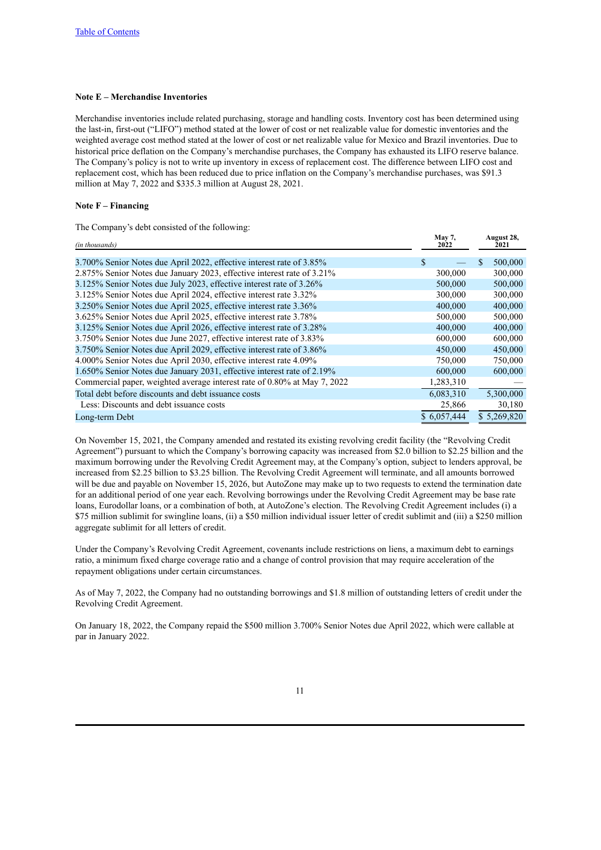#### **Note E – Merchandise Inventories**

Merchandise inventories include related purchasing, storage and handling costs. Inventory cost has been determined using the last-in, first-out ("LIFO") method stated at the lower of cost or net realizable value for domestic inventories and the weighted average cost method stated at the lower of cost or net realizable value for Mexico and Brazil inventories. Due to historical price deflation on the Company's merchandise purchases, the Company has exhausted its LIFO reserve balance. The Company's policy is not to write up inventory in excess of replacement cost. The difference between LIFO cost and replacement cost, which has been reduced due to price inflation on the Company's merchandise purchases, was \$91.3 million at May 7, 2022 and \$335.3 million at August 28, 2021.

#### **Note F – Financing**

The Company's debt consisted of the following:

| (in thousands)                                                           | May 7,<br>2022 | August 28,<br>2021 |
|--------------------------------------------------------------------------|----------------|--------------------|
| 3.700% Senior Notes due April 2022, effective interest rate of 3.85%     | S              | 500,000            |
| 2.875% Senior Notes due January 2023, effective interest rate of 3.21%   | 300,000        | 300,000            |
| 3.125% Senior Notes due July 2023, effective interest rate of 3.26%      | 500,000        | 500,000            |
| 3.125% Senior Notes due April 2024, effective interest rate 3.32%        | 300,000        | 300,000            |
| 3.250% Senior Notes due April 2025, effective interest rate 3.36%        | 400,000        | 400,000            |
| 3.625% Senior Notes due April 2025, effective interest rate 3.78%        | 500,000        | 500,000            |
| 3.125% Senior Notes due April 2026, effective interest rate of 3.28%     | 400,000        | 400,000            |
| 3.750% Senior Notes due June 2027, effective interest rate of 3.83%      | 600,000        | 600,000            |
| 3.750% Senior Notes due April 2029, effective interest rate of 3.86%     | 450,000        | 450,000            |
| 4.000% Senior Notes due April 2030, effective interest rate 4.09%        | 750,000        | 750,000            |
| 1.650% Senior Notes due January 2031, effective interest rate of 2.19%   | 600,000        | 600,000            |
| Commercial paper, weighted average interest rate of 0.80% at May 7, 2022 | 1,283,310      |                    |
| Total debt before discounts and debt issuance costs                      | 6,083,310      | 5,300,000          |
| Less: Discounts and debt issuance costs                                  | 25,866         | 30,180             |
| Long-term Debt                                                           | \$6,057,444    | \$5,269,820        |

On November 15, 2021, the Company amended and restated its existing revolving credit facility (the "Revolving Credit Agreement") pursuant to which the Company's borrowing capacity was increased from \$2.0 billion to \$2.25 billion and the maximum borrowing under the Revolving Credit Agreement may, at the Company's option, subject to lenders approval, be increased from \$2.25 billion to \$3.25 billion. The Revolving Credit Agreement will terminate, and all amounts borrowed will be due and payable on November 15, 2026, but AutoZone may make up to two requests to extend the termination date for an additional period of one year each. Revolving borrowings under the Revolving Credit Agreement may be base rate loans, Eurodollar loans, or a combination of both, at AutoZone's election. The Revolving Credit Agreement includes (i) a \$75 million sublimit for swingline loans, (ii) a \$50 million individual issuer letter of credit sublimit and (iii) a \$250 million aggregate sublimit for all letters of credit.

Under the Company's Revolving Credit Agreement, covenants include restrictions on liens, a maximum debt to earnings ratio, a minimum fixed charge coverage ratio and a change of control provision that may require acceleration of the repayment obligations under certain circumstances.

As of May 7, 2022, the Company had no outstanding borrowings and \$1.8 million of outstanding letters of credit under the Revolving Credit Agreement.

On January 18, 2022, the Company repaid the \$500 million 3.700% Senior Notes due April 2022, which were callable at par in January 2022.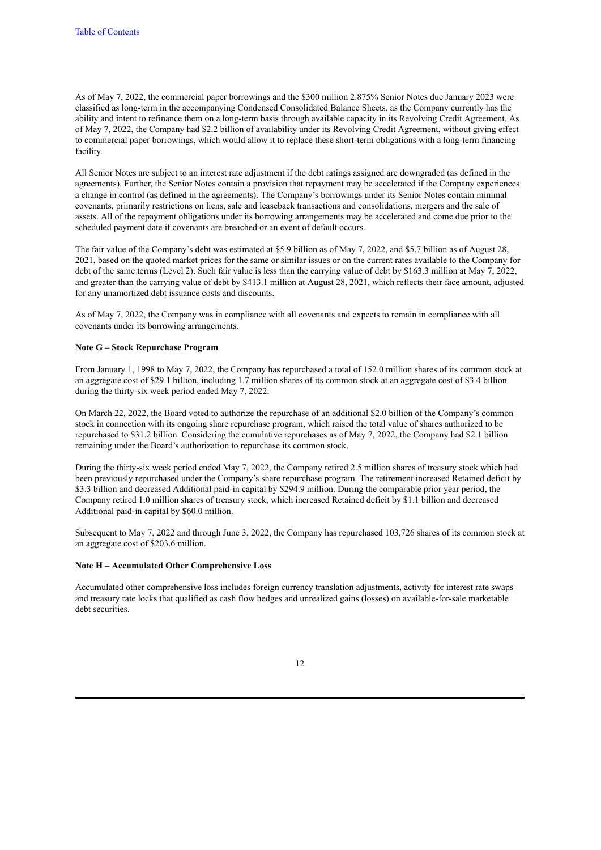As of May 7, 2022, the commercial paper borrowings and the \$300 million 2.875% Senior Notes due January 2023 were classified as long-term in the accompanying Condensed Consolidated Balance Sheets, as the Company currently has the ability and intent to refinance them on a long-term basis through available capacity in its Revolving Credit Agreement. As of May 7, 2022, the Company had \$2.2 billion of availability under its Revolving Credit Agreement, without giving effect to commercial paper borrowings, which would allow it to replace these short-term obligations with a long-term financing facility.

All Senior Notes are subject to an interest rate adjustment if the debt ratings assigned are downgraded (as defined in the agreements). Further, the Senior Notes contain a provision that repayment may be accelerated if the Company experiences a change in control (as defined in the agreements). The Company's borrowings under its Senior Notes contain minimal covenants, primarily restrictions on liens, sale and leaseback transactions and consolidations, mergers and the sale of assets. All of the repayment obligations under its borrowing arrangements may be accelerated and come due prior to the scheduled payment date if covenants are breached or an event of default occurs.

The fair value of the Company's debt was estimated at \$5.9 billion as of May 7, 2022, and \$5.7 billion as of August 28, 2021, based on the quoted market prices for the same or similar issues or on the current rates available to the Company for debt of the same terms (Level 2). Such fair value is less than the carrying value of debt by \$163.3 million at May 7, 2022, and greater than the carrying value of debt by \$413.1 million at August 28, 2021, which reflects their face amount, adjusted for any unamortized debt issuance costs and discounts.

As of May 7, 2022, the Company was in compliance with all covenants and expects to remain in compliance with all covenants under its borrowing arrangements.

#### **Note G – Stock Repurchase Program**

From January 1, 1998 to May 7, 2022, the Company has repurchased a total of 152.0 million shares of its common stock at an aggregate cost of \$29.1 billion, including 1.7 million shares of its common stock at an aggregate cost of \$3.4 billion during the thirty-six week period ended May 7, 2022.

On March 22, 2022, the Board voted to authorize the repurchase of an additional \$2.0 billion of the Company's common stock in connection with its ongoing share repurchase program, which raised the total value of shares authorized to be repurchased to \$31.2 billion. Considering the cumulative repurchases as of May 7, 2022, the Company had \$2.1 billion remaining under the Board's authorization to repurchase its common stock.

During the thirty-six week period ended May 7, 2022, the Company retired 2.5 million shares of treasury stock which had been previously repurchased under the Company's share repurchase program. The retirement increased Retained deficit by \$3.3 billion and decreased Additional paid-in capital by \$294.9 million. During the comparable prior year period, the Company retired 1.0 million shares of treasury stock, which increased Retained deficit by \$1.1 billion and decreased Additional paid-in capital by \$60.0 million.

Subsequent to May 7, 2022 and through June 3, 2022, the Company has repurchased 103,726 shares of its common stock at an aggregate cost of \$203.6 million.

#### **Note H – Accumulated Other Comprehensive Loss**

Accumulated other comprehensive loss includes foreign currency translation adjustments, activity for interest rate swaps and treasury rate locks that qualified as cash flow hedges and unrealized gains (losses) on available-for-sale marketable debt securities.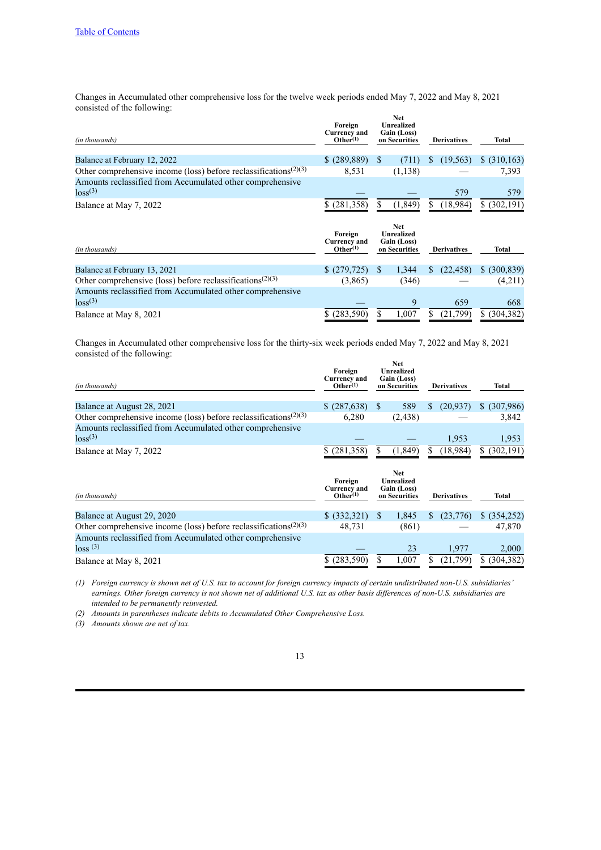Changes in Accumulated other comprehensive loss for the twelve week periods ended May 7, 2022 and May 8, 2021 consisted of the following: **Net**

| (in thousands)                                                                            | Foreign<br><b>Currency and</b><br>Other <sup>(1)</sup> |              | Net<br><b>Unrealized</b><br>Gain (Loss)<br>on Securities        |    | <b>Derivatives</b> | Total         |
|-------------------------------------------------------------------------------------------|--------------------------------------------------------|--------------|-----------------------------------------------------------------|----|--------------------|---------------|
| Balance at February 12, 2022                                                              | \$(289, 889)                                           | <sup>S</sup> | (711)                                                           | S  | (19, 563)          | \$ (310, 163) |
| Other comprehensive income (loss) before reclassifications <sup><math>(2)(3)</math></sup> | 8,531                                                  |              | (1, 138)                                                        |    |                    | 7,393         |
| Amounts reclassified from Accumulated other comprehensive<br>$\log(s^2)$                  |                                                        |              |                                                                 |    | 579                | 579           |
| Balance at May 7, 2022                                                                    | \$ (281,358)                                           |              | (1, 849)                                                        | S. | (18,984)           | \$ (302,191)  |
|                                                                                           |                                                        |              |                                                                 |    |                    |               |
| (in thousands)                                                                            | Foreign<br><b>Currency and</b><br>Other <sup>(1)</sup> |              | <b>Net</b><br><b>Unrealized</b><br>Gain (Loss)<br>on Securities |    | <b>Derivatives</b> | <b>Total</b>  |
| Balance at February 13, 2021                                                              | \$(279,725)                                            | <sup>S</sup> | 1,344                                                           | S. | (22, 458)          | \$ (300, 839) |
| Other comprehensive (loss) before reclassifications <sup><math>(2)(3)</math></sup>        | (3,865)                                                |              | (346)                                                           |    |                    | (4,211)       |
| Amounts reclassified from Accumulated other comprehensive<br>$\log(s^2)$                  |                                                        |              | 9                                                               |    | 659                | 668           |

Changes in Accumulated other comprehensive loss for the thirty-six week periods ended May 7, 2022 and May 8, 2021 consisted of the following: **Net**

| (in thousands)                                                                            | Foreign<br><b>Currency and</b><br>Other <sup>(1)</sup> |   | rvet<br><b>Unrealized</b><br>Gain (Loss)<br>on Securities | <b>Derivatives</b> | Total           |
|-------------------------------------------------------------------------------------------|--------------------------------------------------------|---|-----------------------------------------------------------|--------------------|-----------------|
| Balance at August 28, 2021                                                                | \$ (287,638)                                           | S | 589                                                       | (20,937)<br>S.     | (307,986)<br>S. |
| Other comprehensive income (loss) before reclassifications <sup><math>(2)(3)</math></sup> | 6,280                                                  |   | (2, 438)                                                  |                    | 3,842           |
| Amounts reclassified from Accumulated other comprehensive<br>loss <sup>(3)</sup>          |                                                        |   |                                                           | 1,953              | 1,953           |
| Balance at May 7, 2022                                                                    | (281, 358)<br>S.                                       | S | (1, 849)                                                  | (18,984)<br>S.     | \$ (302,191)    |
|                                                                                           |                                                        |   | <b>Net</b><br><b>Unrealized</b>                           |                    |                 |
| (in thousands)                                                                            | Foreign<br><b>Currency and</b><br>Other <sup>(1)</sup> |   | Gain (Loss)<br>on Securities                              | <b>Derivatives</b> | Total           |
| Balance at August 29, 2020                                                                | \$ (332,321)                                           | S | 1,845                                                     | (23,776)<br>S      | \$ (354,252)    |
| Other comprehensive income (loss) before reclassifications <sup><math>(2)(3)</math></sup> | 48,731                                                 |   | (861)                                                     |                    | 47,870          |
| Amounts reclassified from Accumulated other comprehensive<br>$\log s$ <sup>(3)</sup>      |                                                        |   | 23                                                        | 1,977              | 2,000           |

*(1) Foreign currency is shown net of U.S. tax to account for foreign currency impacts of certain undistributed non-U.S. subsidiaries' earnings. Other foreign currency is not shown net of additional U.S. tax as other basis differences of non-U.S. subsidiaries are intended to be permanently reinvested.*

*(2) Amounts in parentheses indicate debits to Accumulated Other Comprehensive Loss.*

*(3) Amounts shown are net of tax.*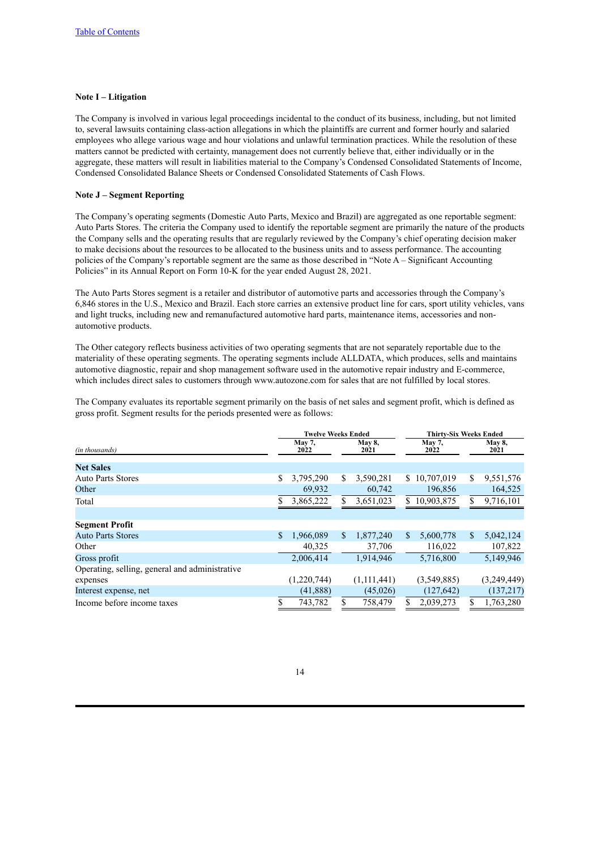#### **Note I – Litigation**

The Company is involved in various legal proceedings incidental to the conduct of its business, including, but not limited to, several lawsuits containing class-action allegations in which the plaintiffs are current and former hourly and salaried employees who allege various wage and hour violations and unlawful termination practices. While the resolution of these matters cannot be predicted with certainty, management does not currently believe that, either individually or in the aggregate, these matters will result in liabilities material to the Company's Condensed Consolidated Statements of Income, Condensed Consolidated Balance Sheets or Condensed Consolidated Statements of Cash Flows.

# **Note J – Segment Reporting**

The Company's operating segments (Domestic Auto Parts, Mexico and Brazil) are aggregated as one reportable segment: Auto Parts Stores. The criteria the Company used to identify the reportable segment are primarily the nature of the products the Company sells and the operating results that are regularly reviewed by the Company's chief operating decision maker to make decisions about the resources to be allocated to the business units and to assess performance. The accounting policies of the Company's reportable segment are the same as those described in "Note A – Significant Accounting Policies" in its Annual Report on Form 10-K for the year ended August 28, 2021.

The Auto Parts Stores segment is a retailer and distributor of automotive parts and accessories through the Company's 6,846 stores in the U.S., Mexico and Brazil. Each store carries an extensive product line for cars, sport utility vehicles, vans and light trucks, including new and remanufactured automotive hard parts, maintenance items, accessories and nonautomotive products.

The Other category reflects business activities of two operating segments that are not separately reportable due to the materiality of these operating segments. The operating segments include ALLDATA, which produces, sells and maintains automotive diagnostic, repair and shop management software used in the automotive repair industry and E-commerce, which includes direct sales to customers through www.autozone.com for sales that are not fulfilled by local stores.

The Company evaluates its reportable segment primarily on the basis of net sales and segment profit, which is defined as gross profit. Segment results for the periods presented were as follows:

|                                                |    | <b>Twelve Weeks Ended</b> |    |                | <b>Thirty-Six Weeks Ended</b> |             |    |                |  |  |
|------------------------------------------------|----|---------------------------|----|----------------|-------------------------------|-------------|----|----------------|--|--|
| (in thousands)                                 |    | <b>May 7,</b><br>2022     |    | May 8,<br>2021 | <b>May 7,</b><br>2022         |             |    | May 8,<br>2021 |  |  |
| <b>Net Sales</b>                               |    |                           |    |                |                               |             |    |                |  |  |
| <b>Auto Parts Stores</b>                       | S  | 3,795,290                 | S  | 3,590,281      | S.                            | 10,707,019  | \$ | 9,551,576      |  |  |
| Other                                          |    | 69,932                    |    | 60,742         |                               | 196,856     |    | 164,525        |  |  |
| Total                                          |    | 3,865,222                 |    | 3,651,023      | \$                            | 10,903,875  | \$ | 9,716,101      |  |  |
|                                                |    |                           |    |                |                               |             |    |                |  |  |
| <b>Segment Profit</b>                          |    |                           |    |                |                               |             |    |                |  |  |
| <b>Auto Parts Stores</b>                       | \$ | 1,966,089                 | S. | 1,877,240      | S.                            | 5,600,778   | \$ | 5,042,124      |  |  |
| Other                                          |    | 40,325                    |    | 37,706         |                               | 116,022     |    | 107,822        |  |  |
| Gross profit                                   |    | 2,006,414                 |    | 1,914,946      |                               | 5,716,800   |    | 5,149,946      |  |  |
| Operating, selling, general and administrative |    |                           |    |                |                               |             |    |                |  |  |
| expenses                                       |    | (1,220,744)               |    | (1,111,441)    |                               | (3,549,885) |    | (3,249,449)    |  |  |
| Interest expense, net                          |    | (41, 888)                 |    | (45,026)       |                               | (127, 642)  |    | (137, 217)     |  |  |
| Income before income taxes                     | S  | 743,782                   |    | 758,479        | S                             | 2,039,273   | \$ | 1,763,280      |  |  |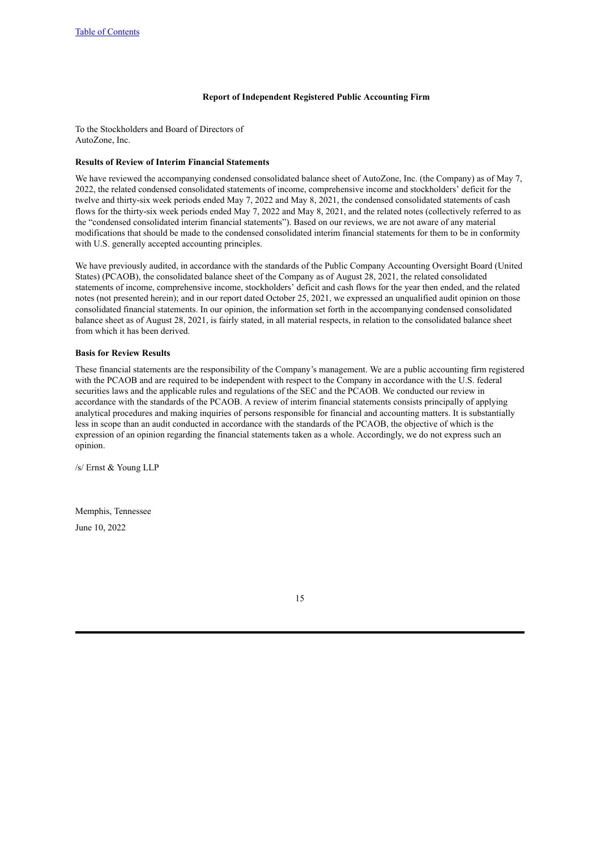### **Report of Independent Registered Public Accounting Firm**

<span id="page-14-0"></span>To the Stockholders and Board of Directors of AutoZone, Inc.

#### **Results of Review of Interim Financial Statements**

We have reviewed the accompanying condensed consolidated balance sheet of AutoZone, Inc. (the Company) as of May 7, 2022, the related condensed consolidated statements of income, comprehensive income and stockholders' deficit for the twelve and thirty-six week periods ended May 7, 2022 and May 8, 2021, the condensed consolidated statements of cash flows for the thirty-six week periods ended May 7, 2022 and May 8, 2021, and the related notes (collectively referred to as the "condensed consolidated interim financial statements"). Based on our reviews, we are not aware of any material modifications that should be made to the condensed consolidated interim financial statements for them to be in conformity with U.S. generally accepted accounting principles.

We have previously audited, in accordance with the standards of the Public Company Accounting Oversight Board (United States) (PCAOB), the consolidated balance sheet of the Company as of August 28, 2021, the related consolidated statements of income, comprehensive income, stockholders' deficit and cash flows for the year then ended, and the related notes (not presented herein); and in our report dated October 25, 2021, we expressed an unqualified audit opinion on those consolidated financial statements. In our opinion, the information set forth in the accompanying condensed consolidated balance sheet as of August 28, 2021, is fairly stated, in all material respects, in relation to the consolidated balance sheet from which it has been derived.

#### **Basis for Review Results**

These financial statements are the responsibility of the Company's management. We are a public accounting firm registered with the PCAOB and are required to be independent with respect to the Company in accordance with the U.S. federal securities laws and the applicable rules and regulations of the SEC and the PCAOB. We conducted our review in accordance with the standards of the PCAOB. A review of interim financial statements consists principally of applying analytical procedures and making inquiries of persons responsible for financial and accounting matters. It is substantially less in scope than an audit conducted in accordance with the standards of the PCAOB, the objective of which is the expression of an opinion regarding the financial statements taken as a whole. Accordingly, we do not express such an opinion.

/s/ Ernst & Young LLP

Memphis, Tennessee

June 10, 2022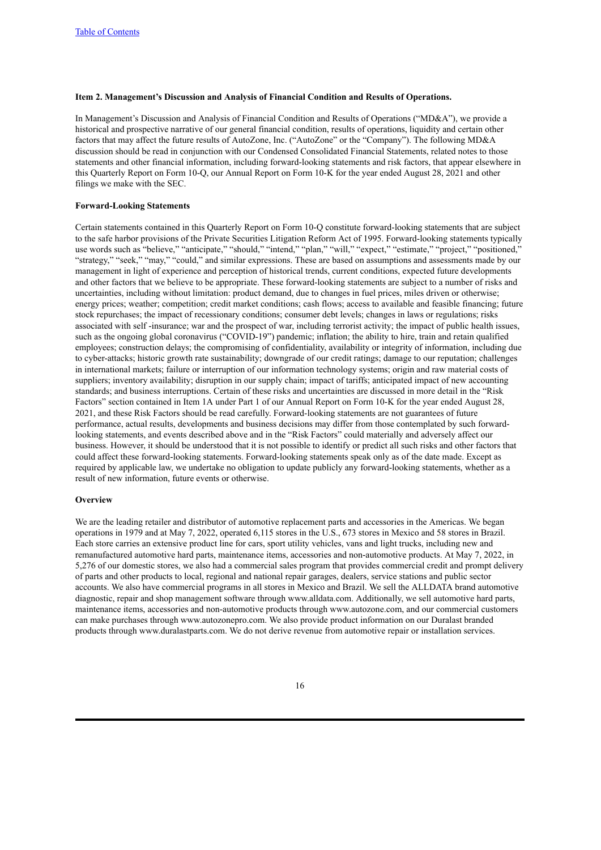### <span id="page-15-0"></span>**Item 2. Management's Discussion and Analysis of Financial Condition and Results of Operations.**

In Management's Discussion and Analysis of Financial Condition and Results of Operations ("MD&A"), we provide a historical and prospective narrative of our general financial condition, results of operations, liquidity and certain other factors that may affect the future results of AutoZone, Inc. ("AutoZone" or the "Company"). The following MD&A discussion should be read in conjunction with our Condensed Consolidated Financial Statements, related notes to those statements and other financial information, including forward-looking statements and risk factors, that appear elsewhere in this Quarterly Report on Form 10-Q, our Annual Report on Form 10-K for the year ended August 28, 2021 and other filings we make with the SEC.

#### **Forward-Looking Statements**

Certain statements contained in this Quarterly Report on Form 10-Q constitute forward-looking statements that are subject to the safe harbor provisions of the Private Securities Litigation Reform Act of 1995. Forward-looking statements typically use words such as "believe," "anticipate," "should," "intend," "plan," "will," "expect," "estimate," "project," "positioned," "strategy," "seek," "may," "could," and similar expressions. These are based on assumptions and assessments made by our management in light of experience and perception of historical trends, current conditions, expected future developments and other factors that we believe to be appropriate. These forward-looking statements are subject to a number of risks and uncertainties, including without limitation: product demand, due to changes in fuel prices, miles driven or otherwise; energy prices; weather; competition; credit market conditions; cash flows; access to available and feasible financing; future stock repurchases; the impact of recessionary conditions; consumer debt levels; changes in laws or regulations; risks associated with self -insurance; war and the prospect of war, including terrorist activity; the impact of public health issues, such as the ongoing global coronavirus ("COVID-19") pandemic; inflation; the ability to hire, train and retain qualified employees; construction delays; the compromising of confidentiality, availability or integrity of information, including due to cyber-attacks; historic growth rate sustainability; downgrade of our credit ratings; damage to our reputation; challenges in international markets; failure or interruption of our information technology systems; origin and raw material costs of suppliers; inventory availability; disruption in our supply chain; impact of tariffs; anticipated impact of new accounting standards; and business interruptions. Certain of these risks and uncertainties are discussed in more detail in the "Risk Factors" section contained in Item 1A under Part 1 of our Annual Report on Form 10-K for the year ended August 28, 2021, and these Risk Factors should be read carefully. Forward-looking statements are not guarantees of future performance, actual results, developments and business decisions may differ from those contemplated by such forwardlooking statements, and events described above and in the "Risk Factors" could materially and adversely affect our business. However, it should be understood that it is not possible to identify or predict all such risks and other factors that could affect these forward-looking statements. Forward-looking statements speak only as of the date made. Except as required by applicable law, we undertake no obligation to update publicly any forward-looking statements, whether as a result of new information, future events or otherwise.

#### **Overview**

We are the leading retailer and distributor of automotive replacement parts and accessories in the Americas. We began operations in 1979 and at May 7, 2022, operated 6,115 stores in the U.S., 673 stores in Mexico and 58 stores in Brazil. Each store carries an extensive product line for cars, sport utility vehicles, vans and light trucks, including new and remanufactured automotive hard parts, maintenance items, accessories and non-automotive products. At May 7, 2022, in 5,276 of our domestic stores, we also had a commercial sales program that provides commercial credit and prompt delivery of parts and other products to local, regional and national repair garages, dealers, service stations and public sector accounts. We also have commercial programs in all stores in Mexico and Brazil. We sell the ALLDATA brand automotive diagnostic, repair and shop management software through www.alldata.com. Additionally, we sell automotive hard parts, maintenance items, accessories and non-automotive products through www.autozone.com, and our commercial customers can make purchases through www.autozonepro.com. We also provide product information on our Duralast branded products through www.duralastparts.com. We do not derive revenue from automotive repair or installation services.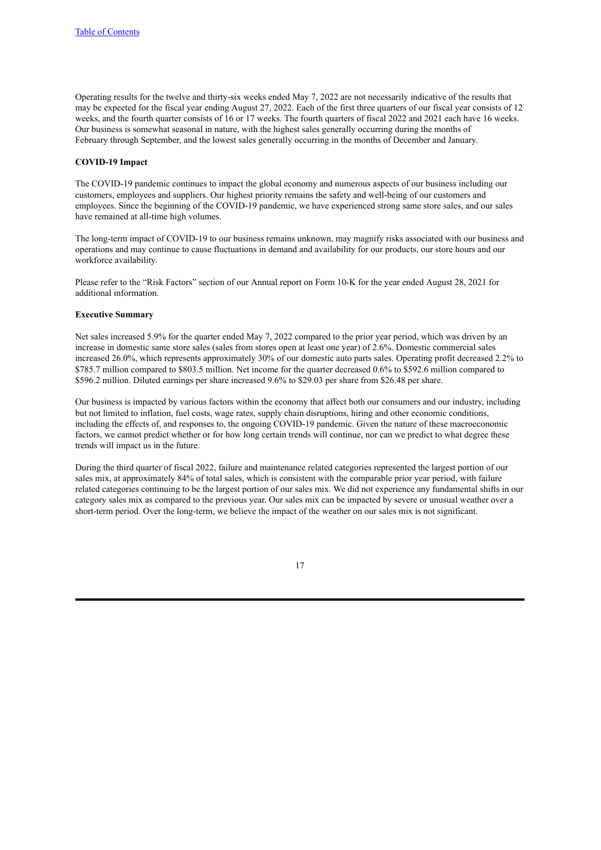Operating results for the twelve and thirty-six weeks ended May 7, 2022 are not necessarily indicative of the results that may be expected for the fiscal year ending August 27, 2022. Each of the first three quarters of our fiscal year consists of 12 weeks, and the fourth quarter consists of 16 or 17 weeks. The fourth quarters of fiscal 2022 and 2021 each have 16 weeks. Our business is somewhat seasonal in nature, with the highest sales generally occurring during the months of February through September, and the lowest sales generally occurring in the months of December and January.

#### **COVID-19 Impact**

The COVID-19 pandemic continues to impact the global economy and numerous aspects of our business including our customers, employees and suppliers. Our highest priority remains the safety and well-being of our customers and employees. Since the beginning of the COVID-19 pandemic, we have experienced strong same store sales, and our sales have remained at all-time high volumes.

The long-term impact of COVID-19 to our business remains unknown, may magnify risks associated with our business and operations and may continue to cause fluctuations in demand and availability for our products, our store hours and our workforce availability.

Please refer to the "Risk Factors" section of our Annual report on Form 10-K for the year ended August 28, 2021 for additional information.

#### **Executive Summary**

Net sales increased 5.9% for the quarter ended May 7, 2022 compared to the prior year period, which was driven by an increase in domestic same store sales (sales from stores open at least one year) of 2.6%. Domestic commercial sales increased 26.0%, which represents approximately 30% of our domestic auto parts sales. Operating profit decreased 2.2% to \$785.7 million compared to \$803.5 million. Net income for the quarter decreased 0.6% to \$592.6 million compared to \$596.2 million. Diluted earnings per share increased 9.6% to \$29.03 per share from \$26.48 per share.

Our business is impacted by various factors within the economy that affect both our consumers and our industry, including but not limited to inflation, fuel costs, wage rates, supply chain disruptions, hiring and other economic conditions, including the effects of, and responses to, the ongoing COVID-19 pandemic. Given the nature of these macroeconomic factors, we cannot predict whether or for how long certain trends will continue, nor can we predict to what degree these trends will impact us in the future.

During the third quarter of fiscal 2022, failure and maintenance related categories represented the largest portion of our sales mix, at approximately 84% of total sales, which is consistent with the comparable prior year period, with failure related categories continuing to be the largest portion of our sales mix. We did not experience any fundamental shifts in our category sales mix as compared to the previous year. Our sales mix can be impacted by severe or unusual weather over a short-term period. Over the long-term, we believe the impact of the weather on our sales mix is not significant.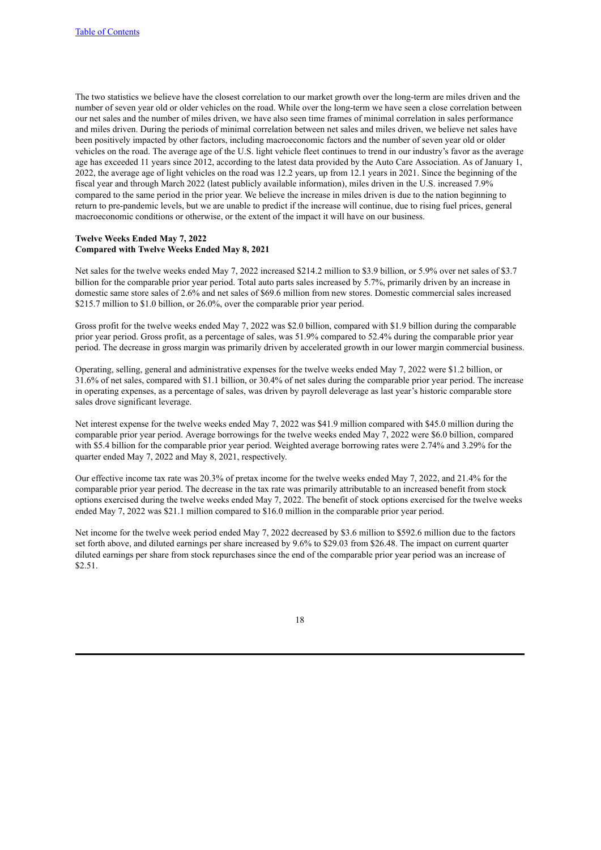The two statistics we believe have the closest correlation to our market growth over the long-term are miles driven and the number of seven year old or older vehicles on the road. While over the long-term we have seen a close correlation between our net sales and the number of miles driven, we have also seen time frames of minimal correlation in sales performance and miles driven. During the periods of minimal correlation between net sales and miles driven, we believe net sales have been positively impacted by other factors, including macroeconomic factors and the number of seven year old or older vehicles on the road. The average age of the U.S. light vehicle fleet continues to trend in our industry's favor as the average age has exceeded 11 years since 2012, according to the latest data provided by the Auto Care Association. As of January 1, 2022, the average age of light vehicles on the road was 12.2 years, up from 12.1 years in 2021. Since the beginning of the fiscal year and through March 2022 (latest publicly available information), miles driven in the U.S. increased 7.9% compared to the same period in the prior year. We believe the increase in miles driven is due to the nation beginning to return to pre-pandemic levels, but we are unable to predict if the increase will continue, due to rising fuel prices, general macroeconomic conditions or otherwise, or the extent of the impact it will have on our business.

# **Twelve Weeks Ended May 7, 2022 Compared with Twelve Weeks Ended May 8, 2021**

Net sales for the twelve weeks ended May 7, 2022 increased \$214.2 million to \$3.9 billion, or 5.9% over net sales of \$3.7 billion for the comparable prior year period. Total auto parts sales increased by 5.7%, primarily driven by an increase in domestic same store sales of 2.6% and net sales of \$69.6 million from new stores. Domestic commercial sales increased \$215.7 million to \$1.0 billion, or 26.0%, over the comparable prior year period.

Gross profit for the twelve weeks ended May 7, 2022 was \$2.0 billion, compared with \$1.9 billion during the comparable prior year period. Gross profit, as a percentage of sales, was 51.9% compared to 52.4% during the comparable prior year period. The decrease in gross margin was primarily driven by accelerated growth in our lower margin commercial business.

Operating, selling, general and administrative expenses for the twelve weeks ended May 7, 2022 were \$1.2 billion, or 31.6% of net sales, compared with \$1.1 billion, or 30.4% of net sales during the comparable prior year period. The increase in operating expenses, as a percentage of sales, was driven by payroll deleverage as last year's historic comparable store sales drove significant leverage.

Net interest expense for the twelve weeks ended May 7, 2022 was \$41.9 million compared with \$45.0 million during the comparable prior year period. Average borrowings for the twelve weeks ended May 7, 2022 were \$6.0 billion, compared with \$5.4 billion for the comparable prior year period. Weighted average borrowing rates were 2.74% and 3.29% for the quarter ended May 7, 2022 and May 8, 2021, respectively.

Our effective income tax rate was 20.3% of pretax income for the twelve weeks ended May 7, 2022, and 21.4% for the comparable prior year period. The decrease in the tax rate was primarily attributable to an increased benefit from stock options exercised during the twelve weeks ended May 7, 2022. The benefit of stock options exercised for the twelve weeks ended May 7, 2022 was \$21.1 million compared to \$16.0 million in the comparable prior year period.

Net income for the twelve week period ended May 7, 2022 decreased by \$3.6 million to \$592.6 million due to the factors set forth above, and diluted earnings per share increased by 9.6% to \$29.03 from \$26.48. The impact on current quarter diluted earnings per share from stock repurchases since the end of the comparable prior year period was an increase of \$2.51.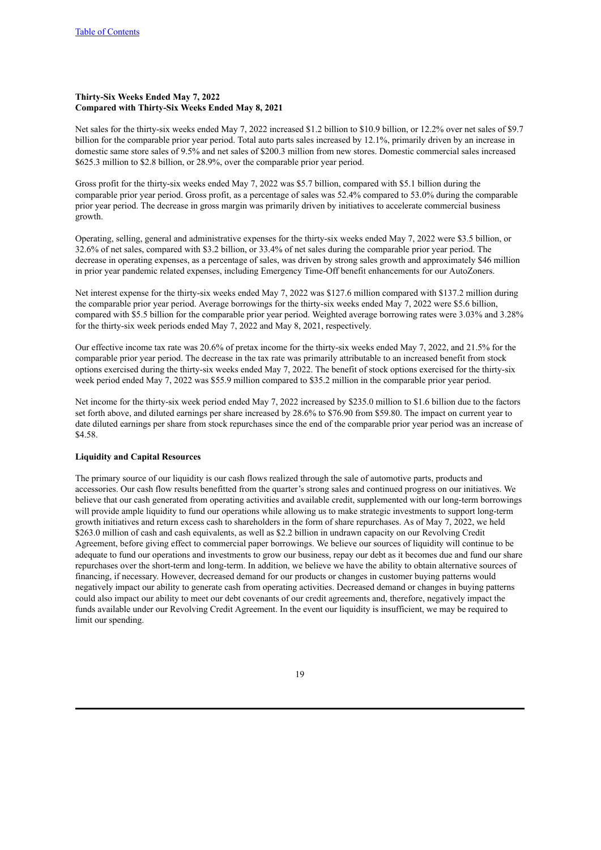# **Thirty-Six Weeks Ended May 7, 2022 Compared with Thirty-Six Weeks Ended May 8, 2021**

Net sales for the thirty-six weeks ended May 7, 2022 increased \$1.2 billion to \$10.9 billion, or 12.2% over net sales of \$9.7 billion for the comparable prior year period. Total auto parts sales increased by 12.1%, primarily driven by an increase in domestic same store sales of 9.5% and net sales of \$200.3 million from new stores. Domestic commercial sales increased \$625.3 million to \$2.8 billion, or 28.9%, over the comparable prior year period.

Gross profit for the thirty-six weeks ended May 7, 2022 was \$5.7 billion, compared with \$5.1 billion during the comparable prior year period. Gross profit, as a percentage of sales was 52.4% compared to 53.0% during the comparable prior year period. The decrease in gross margin was primarily driven by initiatives to accelerate commercial business growth.

Operating, selling, general and administrative expenses for the thirty-six weeks ended May 7, 2022 were \$3.5 billion, or 32.6% of net sales, compared with \$3.2 billion, or 33.4% of net sales during the comparable prior year period. The decrease in operating expenses, as a percentage of sales, was driven by strong sales growth and approximately \$46 million in prior year pandemic related expenses, including Emergency Time-Off benefit enhancements for our AutoZoners.

Net interest expense for the thirty-six weeks ended May 7, 2022 was \$127.6 million compared with \$137.2 million during the comparable prior year period. Average borrowings for the thirty-six weeks ended May 7, 2022 were \$5.6 billion, compared with \$5.5 billion for the comparable prior year period. Weighted average borrowing rates were 3.03% and 3.28% for the thirty-six week periods ended May 7, 2022 and May 8, 2021, respectively.

Our effective income tax rate was 20.6% of pretax income for the thirty-six weeks ended May 7, 2022, and 21.5% for the comparable prior year period. The decrease in the tax rate was primarily attributable to an increased benefit from stock options exercised during the thirty-six weeks ended May 7, 2022. The benefit of stock options exercised for the thirty-six week period ended May 7, 2022 was \$55.9 million compared to \$35.2 million in the comparable prior year period.

Net income for the thirty-six week period ended May 7, 2022 increased by \$235.0 million to \$1.6 billion due to the factors set forth above, and diluted earnings per share increased by 28.6% to \$76.90 from \$59.80. The impact on current year to date diluted earnings per share from stock repurchases since the end of the comparable prior year period was an increase of \$4.58.

#### **Liquidity and Capital Resources**

The primary source of our liquidity is our cash flows realized through the sale of automotive parts, products and accessories. Our cash flow results benefitted from the quarter's strong sales and continued progress on our initiatives. We believe that our cash generated from operating activities and available credit, supplemented with our long-term borrowings will provide ample liquidity to fund our operations while allowing us to make strategic investments to support long-term growth initiatives and return excess cash to shareholders in the form of share repurchases. As of May 7, 2022, we held \$263.0 million of cash and cash equivalents, as well as \$2.2 billion in undrawn capacity on our Revolving Credit Agreement, before giving effect to commercial paper borrowings. We believe our sources of liquidity will continue to be adequate to fund our operations and investments to grow our business, repay our debt as it becomes due and fund our share repurchases over the short-term and long-term. In addition, we believe we have the ability to obtain alternative sources of financing, if necessary. However, decreased demand for our products or changes in customer buying patterns would negatively impact our ability to generate cash from operating activities. Decreased demand or changes in buying patterns could also impact our ability to meet our debt covenants of our credit agreements and, therefore, negatively impact the funds available under our Revolving Credit Agreement. In the event our liquidity is insufficient, we may be required to limit our spending.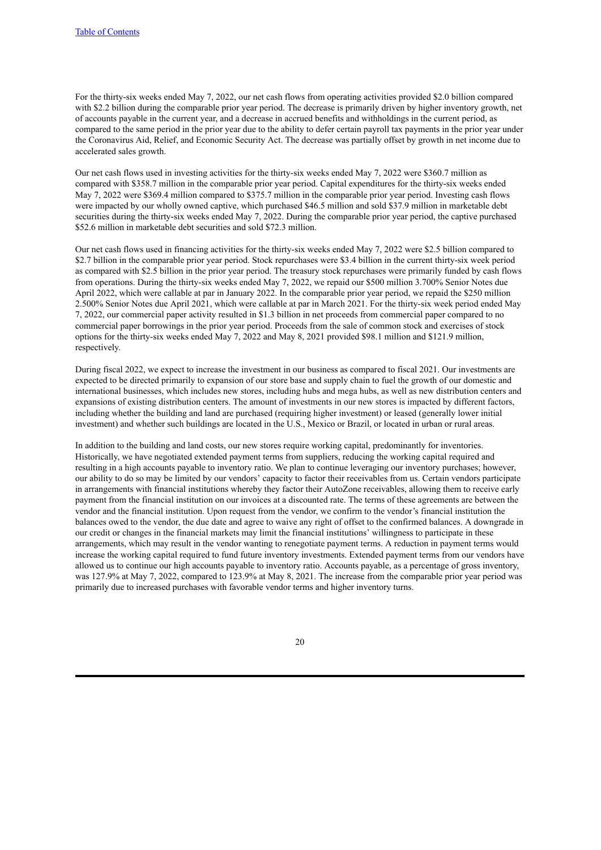For the thirty-six weeks ended May 7, 2022, our net cash flows from operating activities provided \$2.0 billion compared with \$2.2 billion during the comparable prior year period. The decrease is primarily driven by higher inventory growth, net of accounts payable in the current year, and a decrease in accrued benefits and withholdings in the current period, as compared to the same period in the prior year due to the ability to defer certain payroll tax payments in the prior year under the Coronavirus Aid, Relief, and Economic Security Act. The decrease was partially offset by growth in net income due to accelerated sales growth.

Our net cash flows used in investing activities for the thirty-six weeks ended May 7, 2022 were \$360.7 million as compared with \$358.7 million in the comparable prior year period. Capital expenditures for the thirty-six weeks ended May 7, 2022 were \$369.4 million compared to \$375.7 million in the comparable prior year period. Investing cash flows were impacted by our wholly owned captive, which purchased \$46.5 million and sold \$37.9 million in marketable debt securities during the thirty-six weeks ended May 7, 2022. During the comparable prior year period, the captive purchased \$52.6 million in marketable debt securities and sold \$72.3 million.

Our net cash flows used in financing activities for the thirty-six weeks ended May 7, 2022 were \$2.5 billion compared to \$2.7 billion in the comparable prior year period. Stock repurchases were \$3.4 billion in the current thirty-six week period as compared with \$2.5 billion in the prior year period. The treasury stock repurchases were primarily funded by cash flows from operations. During the thirty-six weeks ended May 7, 2022, we repaid our \$500 million 3.700% Senior Notes due April 2022, which were callable at par in January 2022. In the comparable prior year period, we repaid the \$250 million 2.500% Senior Notes due April 2021, which were callable at par in March 2021. For the thirty-six week period ended May 7, 2022, our commercial paper activity resulted in \$1.3 billion in net proceeds from commercial paper compared to no commercial paper borrowings in the prior year period. Proceeds from the sale of common stock and exercises of stock options for the thirty-six weeks ended May 7, 2022 and May 8, 2021 provided \$98.1 million and \$121.9 million, respectively.

During fiscal 2022, we expect to increase the investment in our business as compared to fiscal 2021. Our investments are expected to be directed primarily to expansion of our store base and supply chain to fuel the growth of our domestic and international businesses, which includes new stores, including hubs and mega hubs, as well as new distribution centers and expansions of existing distribution centers. The amount of investments in our new stores is impacted by different factors, including whether the building and land are purchased (requiring higher investment) or leased (generally lower initial investment) and whether such buildings are located in the U.S., Mexico or Brazil, or located in urban or rural areas.

In addition to the building and land costs, our new stores require working capital, predominantly for inventories. Historically, we have negotiated extended payment terms from suppliers, reducing the working capital required and resulting in a high accounts payable to inventory ratio. We plan to continue leveraging our inventory purchases; however, our ability to do so may be limited by our vendors' capacity to factor their receivables from us. Certain vendors participate in arrangements with financial institutions whereby they factor their AutoZone receivables, allowing them to receive early payment from the financial institution on our invoices at a discounted rate. The terms of these agreements are between the vendor and the financial institution. Upon request from the vendor, we confirm to the vendor's financial institution the balances owed to the vendor, the due date and agree to waive any right of offset to the confirmed balances. A downgrade in our credit or changes in the financial markets may limit the financial institutions' willingness to participate in these arrangements, which may result in the vendor wanting to renegotiate payment terms. A reduction in payment terms would increase the working capital required to fund future inventory investments. Extended payment terms from our vendors have allowed us to continue our high accounts payable to inventory ratio. Accounts payable, as a percentage of gross inventory, was 127.9% at May 7, 2022, compared to 123.9% at May 8, 2021. The increase from the comparable prior year period was primarily due to increased purchases with favorable vendor terms and higher inventory turns.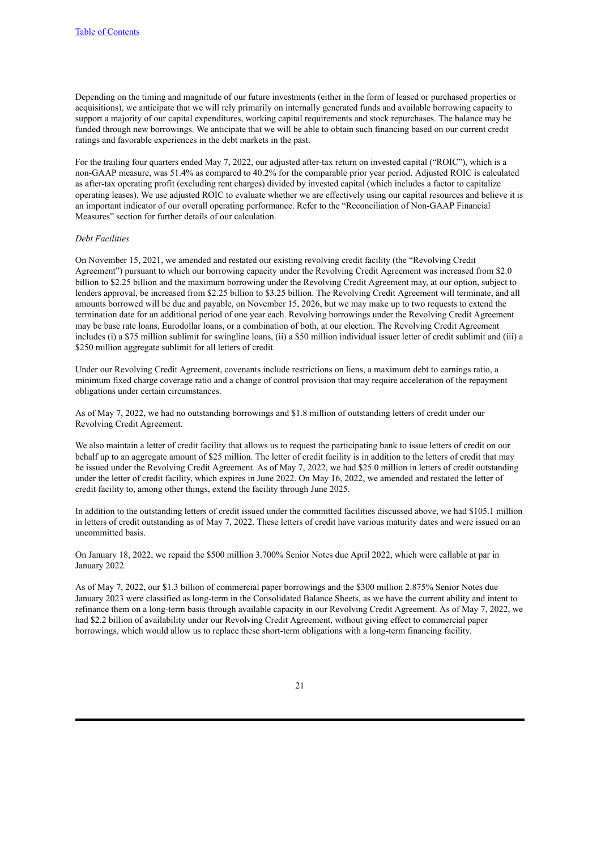Depending on the timing and magnitude of our future investments (either in the form of leased or purchased properties or acquisitions), we anticipate that we will rely primarily on internally generated funds and available borrowing capacity to support a majority of our capital expenditures, working capital requirements and stock repurchases. The balance may be funded through new borrowings. We anticipate that we will be able to obtain such financing based on our current credit ratings and favorable experiences in the debt markets in the past.

For the trailing four quarters ended May 7, 2022, our adjusted after-tax return on invested capital ("ROIC"), which is a non-GAAP measure, was 51.4% as compared to 40.2% for the comparable prior year period. Adjusted ROIC is calculated as after-tax operating profit (excluding rent charges) divided by invested capital (which includes a factor to capitalize operating leases). We use adjusted ROIC to evaluate whether we are effectively using our capital resources and believe it is an important indicator of our overall operating performance. Refer to the "Reconciliation of Non-GAAP Financial Measures" section for further details of our calculation.

## *Debt Facilities*

On November 15, 2021, we amended and restated our existing revolving credit facility (the "Revolving Credit Agreement") pursuant to which our borrowing capacity under the Revolving Credit Agreement was increased from \$2.0 billion to \$2.25 billion and the maximum borrowing under the Revolving Credit Agreement may, at our option, subject to lenders approval, be increased from \$2.25 billion to \$3.25 billion. The Revolving Credit Agreement will terminate, and all amounts borrowed will be due and payable, on November 15, 2026, but we may make up to two requests to extend the termination date for an additional period of one year each. Revolving borrowings under the Revolving Credit Agreement may be base rate loans, Eurodollar loans, or a combination of both, at our election. The Revolving Credit Agreement includes (i) a \$75 million sublimit for swingline loans, (ii) a \$50 million individual issuer letter of credit sublimit and (iii) a \$250 million aggregate sublimit for all letters of credit.

Under our Revolving Credit Agreement, covenants include restrictions on liens, a maximum debt to earnings ratio, a minimum fixed charge coverage ratio and a change of control provision that may require acceleration of the repayment obligations under certain circumstances.

As of May 7, 2022, we had no outstanding borrowings and \$1.8 million of outstanding letters of credit under our Revolving Credit Agreement.

We also maintain a letter of credit facility that allows us to request the participating bank to issue letters of credit on our behalf up to an aggregate amount of \$25 million. The letter of credit facility is in addition to the letters of credit that may be issued under the Revolving Credit Agreement. As of May 7, 2022, we had \$25.0 million in letters of credit outstanding under the letter of credit facility, which expires in June 2022. On May 16, 2022, we amended and restated the letter of credit facility to, among other things, extend the facility through June 2025.

In addition to the outstanding letters of credit issued under the committed facilities discussed above, we had \$105.1 million in letters of credit outstanding as of May 7, 2022. These letters of credit have various maturity dates and were issued on an uncommitted basis.

On January 18, 2022, we repaid the \$500 million 3.700% Senior Notes due April 2022, which were callable at par in January 2022.

As of May 7, 2022, our \$1.3 billion of commercial paper borrowings and the \$300 million 2.875% Senior Notes due January 2023 were classified as long-term in the Consolidated Balance Sheets, as we have the current ability and intent to refinance them on a long-term basis through available capacity in our Revolving Credit Agreement. As of May 7, 2022, we had \$2.2 billion of availability under our Revolving Credit Agreement, without giving effect to commercial paper borrowings, which would allow us to replace these short-term obligations with a long-term financing facility.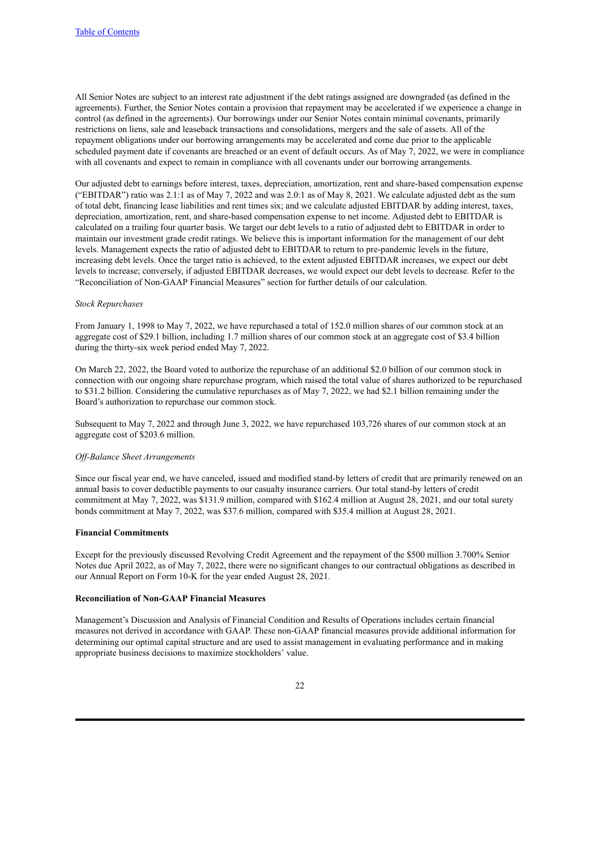All Senior Notes are subject to an interest rate adjustment if the debt ratings assigned are downgraded (as defined in the agreements). Further, the Senior Notes contain a provision that repayment may be accelerated if we experience a change in control (as defined in the agreements). Our borrowings under our Senior Notes contain minimal covenants, primarily restrictions on liens, sale and leaseback transactions and consolidations, mergers and the sale of assets. All of the repayment obligations under our borrowing arrangements may be accelerated and come due prior to the applicable scheduled payment date if covenants are breached or an event of default occurs. As of May 7, 2022, we were in compliance with all covenants and expect to remain in compliance with all covenants under our borrowing arrangements.

Our adjusted debt to earnings before interest, taxes, depreciation, amortization, rent and share-based compensation expense ("EBITDAR") ratio was 2.1:1 as of May 7, 2022 and was 2.0:1 as of May 8, 2021. We calculate adjusted debt as the sum of total debt, financing lease liabilities and rent times six; and we calculate adjusted EBITDAR by adding interest, taxes, depreciation, amortization, rent, and share-based compensation expense to net income. Adjusted debt to EBITDAR is calculated on a trailing four quarter basis. We target our debt levels to a ratio of adjusted debt to EBITDAR in order to maintain our investment grade credit ratings. We believe this is important information for the management of our debt levels. Management expects the ratio of adjusted debt to EBITDAR to return to pre-pandemic levels in the future, increasing debt levels. Once the target ratio is achieved, to the extent adjusted EBITDAR increases, we expect our debt levels to increase; conversely, if adjusted EBITDAR decreases, we would expect our debt levels to decrease. Refer to the "Reconciliation of Non-GAAP Financial Measures" section for further details of our calculation.

#### *Stock Repurchases*

From January 1, 1998 to May 7, 2022, we have repurchased a total of 152.0 million shares of our common stock at an aggregate cost of \$29.1 billion, including 1.7 million shares of our common stock at an aggregate cost of \$3.4 billion during the thirty-six week period ended May 7, 2022.

On March 22, 2022, the Board voted to authorize the repurchase of an additional \$2.0 billion of our common stock in connection with our ongoing share repurchase program, which raised the total value of shares authorized to be repurchased to \$31.2 billion. Considering the cumulative repurchases as of May 7, 2022, we had \$2.1 billion remaining under the Board's authorization to repurchase our common stock.

Subsequent to May 7, 2022 and through June 3, 2022, we have repurchased 103,726 shares of our common stock at an aggregate cost of \$203.6 million.

#### *Of -Balance Sheet Arrangements*

Since our fiscal year end, we have canceled, issued and modified stand-by letters of credit that are primarily renewed on an annual basis to cover deductible payments to our casualty insurance carriers. Our total stand-by letters of credit commitment at May 7, 2022, was \$131.9 million, compared with \$162.4 million at August 28, 2021, and our total surety bonds commitment at May 7, 2022, was \$37.6 million, compared with \$35.4 million at August 28, 2021.

#### **Financial Commitments**

Except for the previously discussed Revolving Credit Agreement and the repayment of the \$500 million 3.700% Senior Notes due April 2022, as of May 7, 2022, there were no significant changes to our contractual obligations as described in our Annual Report on Form 10-K for the year ended August 28, 2021.

# **Reconciliation of Non-GAAP Financial Measures**

Management's Discussion and Analysis of Financial Condition and Results of Operations includes certain financial measures not derived in accordance with GAAP. These non-GAAP financial measures provide additional information for determining our optimal capital structure and are used to assist management in evaluating performance and in making appropriate business decisions to maximize stockholders' value.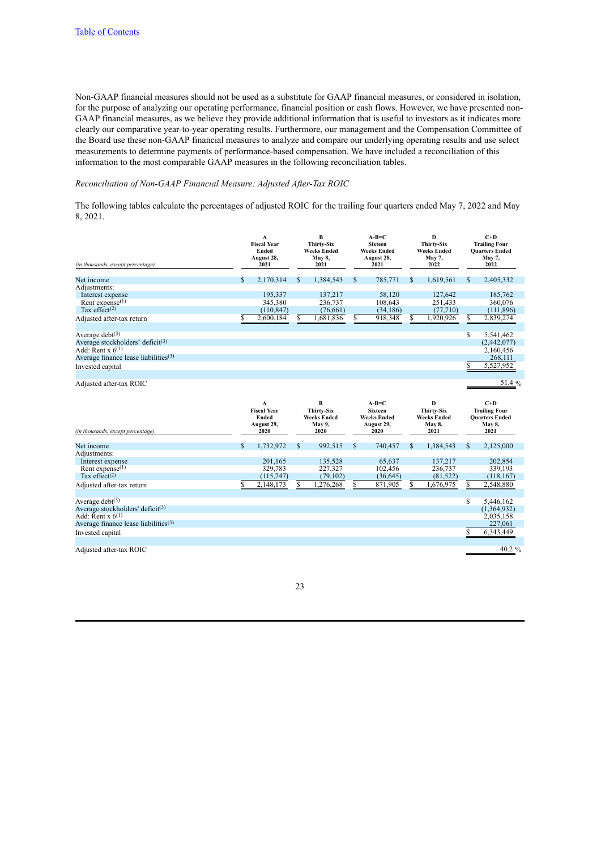Non-GAAP financial measures should not be used as a substitute for GAAP financial measures, or considered in isolation, for the purpose of analyzing our operating performance, financial position or cash flows. However, we have presented non-GAAP financial measures, as we believe they provide additional information that is useful to investors as it indicates more clearly our comparative year-to-year operating results. Furthermore, our management and the Compensation Committee of the Board use these non-GAAP financial measures to analyze and compare our underlying operating results and use select measurements to determine payments of performance-based compensation. We have included a reconciliation of this information to the most comparable GAAP measures in the following reconciliation tables.

## *Reconciliation of Non-GAAP Financial Measure: Adjusted After-Tax ROIC*

The following tables calculate the percentages of adjusted ROIC for the trailing four quarters ended May 7, 2022 and May 8, 2021.

| (in thousands, except percentage)            |    | $\mathbf{A}$<br><b>Fiscal Year</b><br>Ended<br>August 28,<br>2021 |              | в<br><b>Thirty-Six</b><br>Weeks Ended<br>May 8,<br>2021 |    | $A-B=C$<br><b>Sixteen</b><br><b>Weeks Ended</b><br>August 28,<br>2021 | D<br><b>Thirty-Six</b><br>Weeks Ended<br>May 7,<br>2022        |    | $C+D$<br><b>Trailing Four</b><br><b>Quarters Ended</b><br>May 7,<br>2022        |
|----------------------------------------------|----|-------------------------------------------------------------------|--------------|---------------------------------------------------------|----|-----------------------------------------------------------------------|----------------------------------------------------------------|----|---------------------------------------------------------------------------------|
| Net income                                   | \$ | 2,170,314                                                         | $\mathbf S$  | 1,384,543                                               | \$ | 785,771                                                               | \$<br>1,619,561                                                | \$ | 2,405,332                                                                       |
| Adjustments:                                 |    |                                                                   |              |                                                         |    |                                                                       |                                                                |    |                                                                                 |
| Interest expense                             |    | 195.337                                                           |              | 137,217                                                 |    | 58,120                                                                | 127.642                                                        |    | 185.762                                                                         |
| Rent expense $(1)$                           |    | 345,380                                                           |              | 236.737                                                 |    | 108,643                                                               | 251,433                                                        |    | 360,076                                                                         |
| Tax effect <sup>(2)</sup>                    |    | (110, 847)                                                        |              | (76,661)                                                |    | (34, 186)                                                             | (77, 710)                                                      |    | (111, 896)                                                                      |
| Adjusted after-tax return                    |    | 2,600,184                                                         | \$           | .681,836                                                |    | 918,348                                                               | \$<br>1,920,926                                                | \$ | 2,839,274                                                                       |
| Average $debt^{(3)}$                         |    |                                                                   |              |                                                         |    |                                                                       |                                                                | S  | 5,541,462                                                                       |
| Average stockholders' deficit <sup>(3)</sup> |    |                                                                   |              |                                                         |    |                                                                       |                                                                |    | (2,442,077)                                                                     |
| Add: Rent x $6^{(1)}$                        |    |                                                                   |              |                                                         |    |                                                                       |                                                                |    | 2,160,456                                                                       |
| Average finance lease liabilities $(3)$      |    |                                                                   |              |                                                         |    |                                                                       |                                                                |    | 268,111                                                                         |
| Invested capital                             |    |                                                                   |              |                                                         |    |                                                                       |                                                                | \$ | 5,527,952                                                                       |
|                                              |    |                                                                   |              |                                                         |    |                                                                       |                                                                |    |                                                                                 |
| Adjusted after-tax ROIC                      |    |                                                                   |              |                                                         |    |                                                                       |                                                                |    | 51.4 %                                                                          |
|                                              |    |                                                                   |              |                                                         |    |                                                                       |                                                                |    |                                                                                 |
| (in thousands, except percentage)            |    | A<br><b>Fiscal Year</b><br>Ended<br>August 29,<br>2020            |              | в<br><b>Thirty-Six</b><br>Weeks Ended<br>May 9,<br>2020 |    | $A-B=C$<br><b>Sixteen</b><br><b>Weeks Ended</b><br>August 29,<br>2020 | D<br><b>Thirty-Six</b><br>Weeks Ended<br><b>May 8,</b><br>2021 |    | $C+D$<br><b>Trailing Four</b><br><b>Quarters Ended</b><br><b>May 8,</b><br>2021 |
| Net income                                   | \$ | 1,732,972                                                         | $\mathbb{S}$ | 992,515                                                 | S  | 740,457                                                               | \$<br>1,384,543                                                | \$ | 2,125,000                                                                       |
| Adjustments:                                 |    |                                                                   |              |                                                         |    |                                                                       |                                                                |    |                                                                                 |
| Interest expense                             |    | 201,165                                                           |              | 135,528                                                 |    | 65,637                                                                | 137,217                                                        |    | 202,854                                                                         |
| Rent expense $(1)$                           |    | 329,783                                                           |              | 227,327                                                 |    | 102,456                                                               | 236,737                                                        |    | 339,193                                                                         |
| Tax effect <sup>(2)</sup>                    |    | (115,747)                                                         |              | (79, 102)                                               |    | (36, 645)                                                             | (81, 522)                                                      |    | (118, 167)                                                                      |
| Adjusted after-tax return                    | S  | 2,148,173                                                         | \$           | 1,276,268                                               | S  | 871,905                                                               | \$<br>1,676,975                                                | \$ | 2,548,880                                                                       |
|                                              |    |                                                                   |              |                                                         |    |                                                                       |                                                                |    |                                                                                 |
| Average $debt^{(3)}$                         |    |                                                                   |              |                                                         |    |                                                                       |                                                                | \$ | 5,446,162                                                                       |
| Average stockholders' deficit $(3)$          |    |                                                                   |              |                                                         |    |                                                                       |                                                                |    | (1,364,932)                                                                     |
| Add: Rent x $6^{(1)}$                        |    |                                                                   |              |                                                         |    |                                                                       |                                                                |    | 2,035,158                                                                       |
| Average finance lease liabilities $(3)$      |    |                                                                   |              |                                                         |    |                                                                       |                                                                |    | 227,061                                                                         |
| Invested capital                             |    |                                                                   |              |                                                         |    |                                                                       |                                                                | \$ | 6,343,449                                                                       |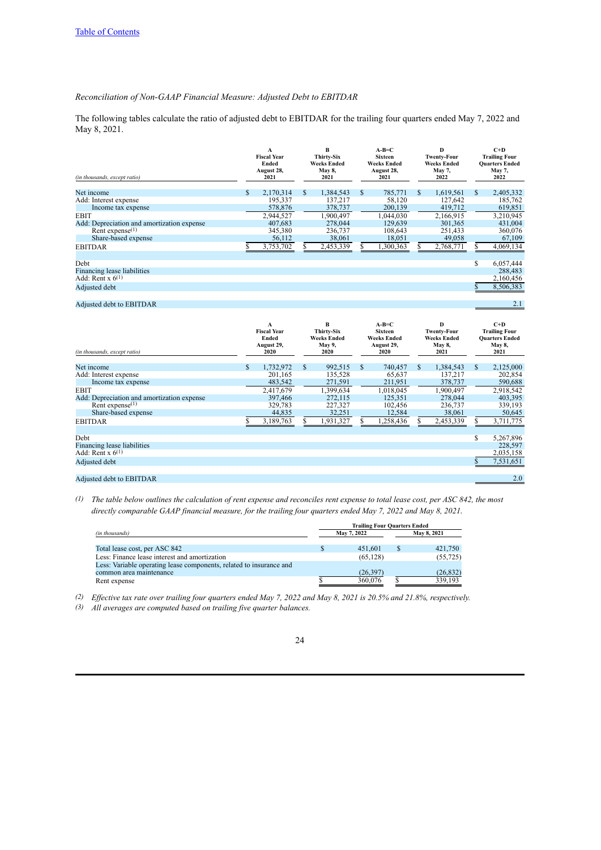# *Reconciliation of Non-GAAP Financial Measure: Adjusted Debt to EBITDAR*

The following tables calculate the ratio of adjusted debt to EBITDAR for the trailing four quarters ended May 7, 2022 and May 8, 2021.

| (in thousands, except ratio)               |   | A<br><b>Fiscal Year</b><br>Ended<br>August 28,<br>2021 |     | B<br><b>Thirty-Six</b><br><b>Weeks Ended</b><br>May 8,<br>2021 |              | $A-B=C$<br><b>Sixteen</b><br><b>Weeks Ended</b><br>August 28,<br>2021 |   | D<br><b>Twenty-Four</b><br><b>Weeks Ended</b><br>May 7,<br>2022 |    | $C+D$<br><b>Trailing Four</b><br><b>Quarters Ended</b><br>May 7,<br>2022 |
|--------------------------------------------|---|--------------------------------------------------------|-----|----------------------------------------------------------------|--------------|-----------------------------------------------------------------------|---|-----------------------------------------------------------------|----|--------------------------------------------------------------------------|
| Net income                                 | S | 2.170.314                                              | \$. | 1,384,543                                                      | <sup>S</sup> | 785,771                                                               | S | 1,619,561                                                       | S. | 2,405,332                                                                |
| Add: Interest expense                      |   | 195,337                                                |     | 137,217                                                        |              | 58,120                                                                |   | 127,642                                                         |    | 185,762                                                                  |
| Income tax expense                         |   | 578,876                                                |     | 378,737                                                        |              | 200,139                                                               |   | 419,712                                                         |    | 619,851                                                                  |
| <b>EBIT</b>                                |   | 2,944,527                                              |     | 1,900,497                                                      |              | 1,044,030                                                             |   | 2,166,915                                                       |    | 3,210,945                                                                |
| Add: Depreciation and amortization expense |   | 407,683                                                |     | 278,044                                                        |              | 129.639                                                               |   | 301,365                                                         |    | 431,004                                                                  |
| Rent expense <sup><math>(1)</math></sup>   |   | 345,380                                                |     | 236,737                                                        |              | 108,643                                                               |   | 251,433                                                         |    | 360,076                                                                  |
| Share-based expense                        |   | 56,112                                                 |     | 38,061                                                         |              | 18,051                                                                |   | 49,058                                                          |    | 67,109                                                                   |
| <b>EBITDAR</b>                             |   | 3,753,702                                              |     | 2,453,339                                                      |              | ,300,363                                                              |   | 2,768,771                                                       |    | 4,069,134                                                                |
|                                            |   |                                                        |     |                                                                |              |                                                                       |   |                                                                 |    |                                                                          |
| Debt                                       |   |                                                        |     |                                                                |              |                                                                       |   |                                                                 | S  | 6,057,444                                                                |
| Financing lease liabilities                |   |                                                        |     |                                                                |              |                                                                       |   |                                                                 |    | 288.483                                                                  |
| Add: Rent x $6^{(1)}$                      |   |                                                        |     |                                                                |              |                                                                       |   |                                                                 |    | 2,160,456                                                                |
| Adjusted debt                              |   |                                                        |     |                                                                |              |                                                                       |   |                                                                 |    | 8,506,383                                                                |
|                                            |   |                                                        |     |                                                                |              |                                                                       |   |                                                                 |    |                                                                          |

# Adjusted debt to EBITDAR 2.1

| (in thousands, except ratio)               | А<br><b>Fiscal Year</b><br>Ended<br>August 29,<br>2020 | B<br><b>Thirty-Six</b><br><b>Weeks Ended</b><br>May 9,<br>2020 |     | $A-B=C$<br><b>Sixteen</b><br><b>Weeks Ended</b><br>August 29,<br>2020 |    | D<br><b>Twenty-Four</b><br><b>Weeks Ended</b><br>May 8,<br>2021 |   | $C+D$<br><b>Trailing Four</b><br><b>Quarters Ended</b><br>May 8,<br>2021 |
|--------------------------------------------|--------------------------------------------------------|----------------------------------------------------------------|-----|-----------------------------------------------------------------------|----|-----------------------------------------------------------------|---|--------------------------------------------------------------------------|
| Net income                                 | \$<br>1,732,972                                        | \$<br>992,515                                                  | \$. | 740,457                                                               | S. | 1,384,543                                                       | S | 2,125,000                                                                |
| Add: Interest expense                      | 201,165                                                | 135,528                                                        |     | 65,637                                                                |    | 137,217                                                         |   | 202,854                                                                  |
| Income tax expense                         | 483,542                                                | 271,591                                                        |     | 211,951                                                               |    | 378,737                                                         |   | 590,688                                                                  |
| <b>EBIT</b>                                | 2,417,679                                              | 1,399,634                                                      |     | 1,018,045                                                             |    | 1,900,497                                                       |   | 2,918,542                                                                |
| Add: Depreciation and amortization expense | 397,466                                                | 272,115                                                        |     | 125.351                                                               |    | 278,044                                                         |   | 403,395                                                                  |
| Rent expense $(1)$                         | 329,783                                                | 227,327                                                        |     | 102,456                                                               |    | 236,737                                                         |   | 339,193                                                                  |
| Share-based expense                        | 44,835                                                 | 32,251                                                         |     | 12,584                                                                |    | 38,061                                                          |   | 50,645                                                                   |
| <b>EBITDAR</b>                             | 3,189,763                                              | 1,931,327                                                      |     | ,258,436                                                              |    | 2,453,339                                                       |   | 3,711,775                                                                |
|                                            |                                                        |                                                                |     |                                                                       |    |                                                                 |   |                                                                          |
| Debt                                       |                                                        |                                                                |     |                                                                       |    |                                                                 | S | 5,267,896                                                                |
| Financing lease liabilities                |                                                        |                                                                |     |                                                                       |    |                                                                 |   | 228,597                                                                  |
| Add: Rent x $6^{(1)}$                      |                                                        |                                                                |     |                                                                       |    |                                                                 |   | 2,035,158                                                                |
| Adjusted debt                              |                                                        |                                                                |     |                                                                       |    |                                                                 |   | 7,531,651                                                                |
|                                            |                                                        |                                                                |     |                                                                       |    |                                                                 |   |                                                                          |
| A diversed dalst to EDITDAD                |                                                        |                                                                |     |                                                                       |    |                                                                 |   | 20                                                                       |

#### Adjusted debt to EBITDAR

*(1) The table below outlines the calculation of rent expense and reconciles rent expense to total lease cost, per ASC 842, the most directly comparable GAAP financial measure, for the trailing four quarters ended May 7, 2022 and May 8, 2021.*

|                                                                     | <b>Trailing Four Quarters Ended</b> |             |  |             |  |  |  |  |  |  |
|---------------------------------------------------------------------|-------------------------------------|-------------|--|-------------|--|--|--|--|--|--|
| (in thousands)                                                      |                                     | May 7, 2022 |  | May 8, 2021 |  |  |  |  |  |  |
| Total lease cost, per ASC 842                                       |                                     | 451.601     |  | 421,750     |  |  |  |  |  |  |
| Less: Finance lease interest and amortization                       |                                     | (65, 128)   |  | (55, 725)   |  |  |  |  |  |  |
| Less: Variable operating lease components, related to insurance and |                                     |             |  |             |  |  |  |  |  |  |
| common area maintenance                                             |                                     | (26, 397)   |  | (26, 832)   |  |  |  |  |  |  |
| Rent expense                                                        |                                     | 360,076     |  | 339.193     |  |  |  |  |  |  |

*(2) Effective tax rate over trailing four quarters ended May 7, 2022 and May 8, 2021 is 20.5% and 21.8%, respectively.*

*(3) All averages are computed based on trailing five quarter balances.*

<sup>24</sup>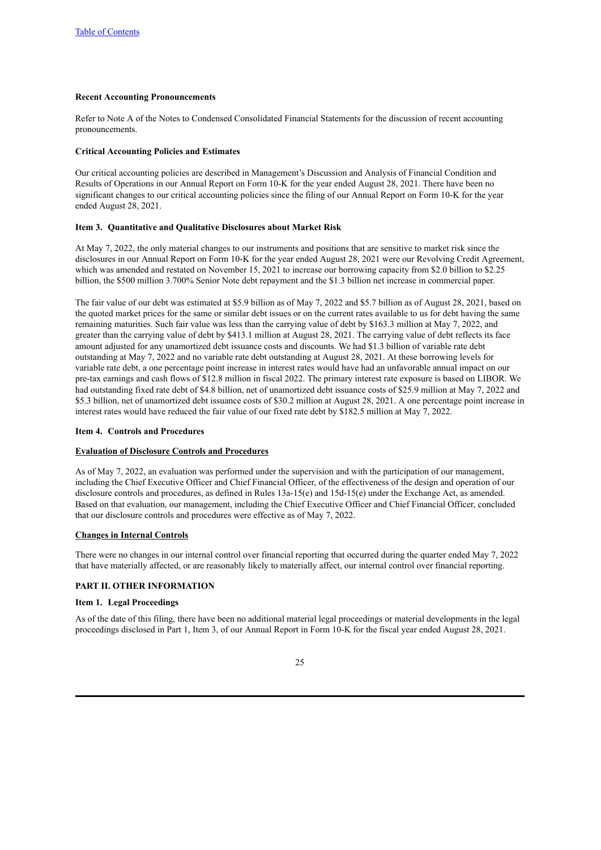## **Recent Accounting Pronouncements**

Refer to Note A of the Notes to Condensed Consolidated Financial Statements for the discussion of recent accounting pronouncements.

### **Critical Accounting Policies and Estimates**

Our critical accounting policies are described in Management's Discussion and Analysis of Financial Condition and Results of Operations in our Annual Report on Form 10-K for the year ended August 28, 2021. There have been no significant changes to our critical accounting policies since the filing of our Annual Report on Form 10-K for the year ended August 28, 2021.

## <span id="page-24-0"></span>**Item 3. Quantitative and Qualitative Disclosures about Market Risk**

At May 7, 2022, the only material changes to our instruments and positions that are sensitive to market risk since the disclosures in our Annual Report on Form 10-K for the year ended August 28, 2021 were our Revolving Credit Agreement, which was amended and restated on November 15, 2021 to increase our borrowing capacity from \$2.0 billion to \$2.25 billion, the \$500 million 3.700% Senior Note debt repayment and the \$1.3 billion net increase in commercial paper.

The fair value of our debt was estimated at \$5.9 billion as of May 7, 2022 and \$5.7 billion as of August 28, 2021, based on the quoted market prices for the same or similar debt issues or on the current rates available to us for debt having the same remaining maturities. Such fair value was less than the carrying value of debt by \$163.3 million at May 7, 2022, and greater than the carrying value of debt by \$413.1 million at August 28, 2021. The carrying value of debt reflects its face amount adjusted for any unamortized debt issuance costs and discounts. We had \$1.3 billion of variable rate debt outstanding at May 7, 2022 and no variable rate debt outstanding at August 28, 2021. At these borrowing levels for variable rate debt, a one percentage point increase in interest rates would have had an unfavorable annual impact on our pre-tax earnings and cash flows of \$12.8 million in fiscal 2022. The primary interest rate exposure is based on LIBOR. We had outstanding fixed rate debt of \$4.8 billion, net of unamortized debt issuance costs of \$25.9 million at May 7, 2022 and \$5.3 billion, net of unamortized debt issuance costs of \$30.2 million at August 28, 2021. A one percentage point increase in interest rates would have reduced the fair value of our fixed rate debt by \$182.5 million at May 7, 2022.

#### <span id="page-24-1"></span>**Item 4. Controls and Procedures**

#### **Evaluation of Disclosure Controls and Procedures**

As of May 7, 2022, an evaluation was performed under the supervision and with the participation of our management, including the Chief Executive Officer and Chief Financial Officer, of the effectiveness of the design and operation of our disclosure controls and procedures, as defined in Rules 13a-15(e) and 15d-15(e) under the Exchange Act, as amended. Based on that evaluation, our management, including the Chief Executive Officer and Chief Financial Officer, concluded that our disclosure controls and procedures were effective as of May 7, 2022.

#### **Changes in Internal Controls**

There were no changes in our internal control over financial reporting that occurred during the quarter ended May 7, 2022 that have materially affected, or are reasonably likely to materially affect, our internal control over financial reporting.

# <span id="page-24-2"></span>**PART II. OTHER INFORMATION**

#### <span id="page-24-3"></span>**Item 1. Legal Proceedings**

As of the date of this filing, there have been no additional material legal proceedings or material developments in the legal proceedings disclosed in Part 1, Item 3, of our Annual Report in Form 10-K for the fiscal year ended August 28, 2021.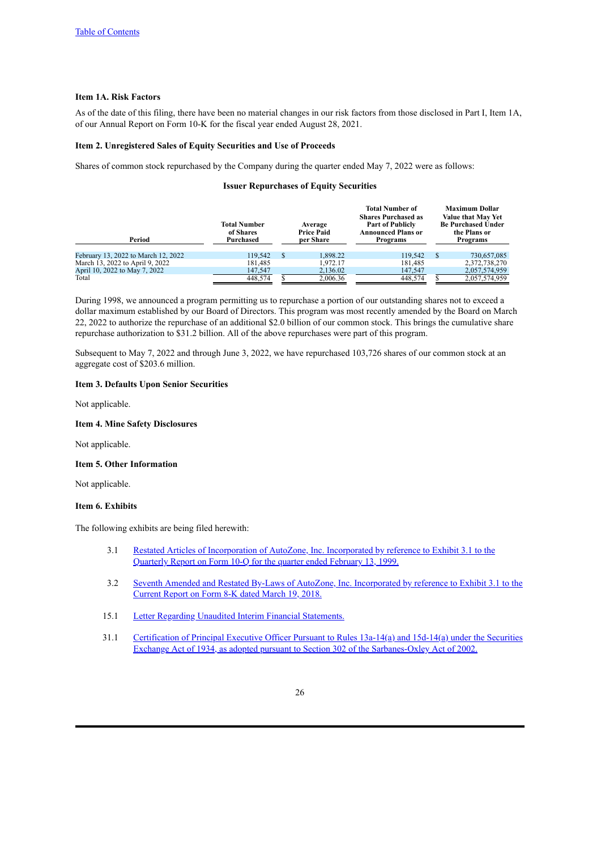### <span id="page-25-0"></span>**Item 1A. Risk Factors**

As of the date of this filing, there have been no material changes in our risk factors from those disclosed in Part I, Item 1A, of our Annual Report on Form 10-K for the fiscal year ended August 28, 2021.

#### <span id="page-25-1"></span>**Item 2. Unregistered Sales of Equity Securities and Use of Proceeds**

Shares of common stock repurchased by the Company during the quarter ended May 7, 2022 were as follows:

#### **Issuer Repurchases of Equity Securities**

| Period                              | <b>Total Number</b><br>of Shares<br>Purchased |    | Average<br><b>Price Paid</b><br>per Share | <b>Total Number of</b><br><b>Shares Purchased as</b><br><b>Part of Publicly</b><br><b>Announced Plans or</b><br>Programs |               | <b>Maximum Dollar</b><br>Value that May Yet<br><b>Be Purchased Under</b><br>the Plans or<br>Programs |
|-------------------------------------|-----------------------------------------------|----|-------------------------------------------|--------------------------------------------------------------------------------------------------------------------------|---------------|------------------------------------------------------------------------------------------------------|
| February 13, 2022 to March 12, 2022 | 119.542                                       | -S | 1.898.22                                  | 119.542                                                                                                                  | <sup>\$</sup> | 730,657,085                                                                                          |
| March 13, 2022 to April 9, 2022     | 181,485                                       |    | 1.972.17                                  | 181,485                                                                                                                  |               | 2,372,738,270                                                                                        |
| April 10, 2022 to May 7, 2022       | 147,547                                       |    | 2,136.02                                  | 147,547                                                                                                                  |               | 2,057,574,959                                                                                        |
| Total                               | 448.574                                       |    | 2.006.36                                  | 448,574                                                                                                                  |               | 2,057,574,959                                                                                        |

During 1998, we announced a program permitting us to repurchase a portion of our outstanding shares not to exceed a dollar maximum established by our Board of Directors. This program was most recently amended by the Board on March 22, 2022 to authorize the repurchase of an additional \$2.0 billion of our common stock. This brings the cumulative share repurchase authorization to \$31.2 billion. All of the above repurchases were part of this program.

Subsequent to May 7, 2022 and through June 3, 2022, we have repurchased 103,726 shares of our common stock at an aggregate cost of \$203.6 million.

### <span id="page-25-2"></span>**Item 3. Defaults Upon Senior Securities**

Not applicable.

# <span id="page-25-3"></span>**Item 4. Mine Safety Disclosures**

Not applicable.

#### <span id="page-25-4"></span>**Item 5. Other Information**

Not applicable.

#### <span id="page-25-5"></span>**Item 6. Exhibits**

The following exhibits are being filed herewith:

- 3.1 Restated Articles of [Incorporation](http://www.sec.gov/Archives/edgar/data/866787/0000866787-99-000003.txt) of AutoZone, Inc. Incorporated by reference to Exhibit 3.1 to the Quarterly Report on Form 10-Q for the quarter ended February 13, 1999.
- 3.2 Seventh Amended and Restated By-Laws of AutoZone, Inc. [Incorporated](http://www.sec.gov/Archives/edgar/data/866787/000117184318002237/exh_31.htm) by reference to Exhibit 3.1 to the Current Report on Form 8-K dated March 19, 2018.
- 15.1 Letter Regarding Unaudited Interim Financial [Statements.](#page-28-0)
- 31.1 Certification of Principal Executive Officer Pursuant to Rules 13a-14(a) and 15d-14(a) under the Securities Exchange Act of 1934, as adopted pursuant to Section 302 of the [Sarbanes-Oxley](#page-29-0) Act of 2002.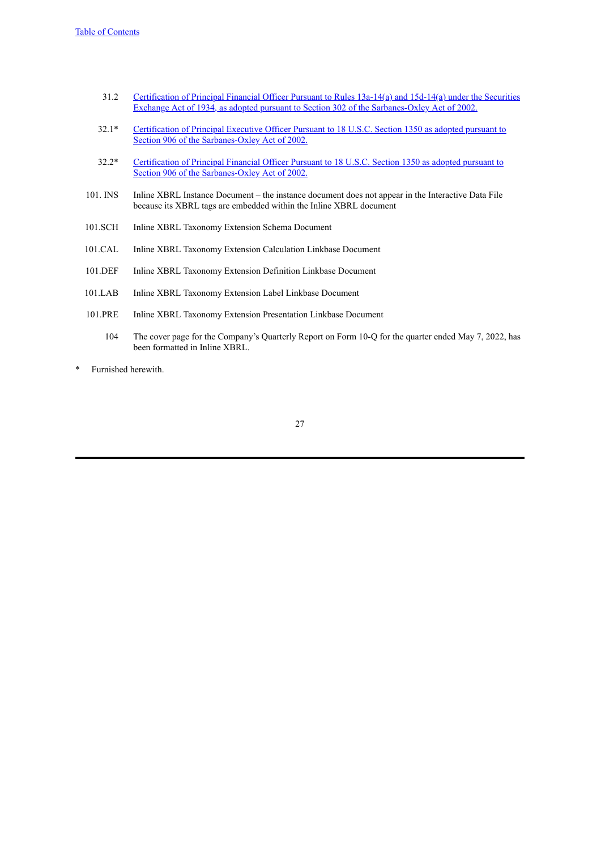- 31.2 Certification of Principal Financial Officer Pursuant to Rules 13a-14(a) and 15d-14(a) under the Securities Exchange Act of 1934, as adopted pursuant to Section 302 of the [Sarbanes-Oxley](#page-30-0) Act of 2002.
- 32.1\* Certification of Principal Executive Officer Pursuant to 18 U.S.C. Section 1350 as adopted pursuant to Section 906 of the [Sarbanes-Oxley](#page-31-0) Act of 2002.
- 32.2\* Certification of Principal Financial Officer Pursuant to 18 U.S.C. Section 1350 as adopted pursuant to Section 906 of the [Sarbanes-Oxley](#page-32-0) Act of 2002.
- 101. INS Inline XBRL Instance Document the instance document does not appear in the Interactive Data File because its XBRL tags are embedded within the Inline XBRL document
- 101.SCH Inline XBRL Taxonomy Extension Schema Document
- 101.CAL Inline XBRL Taxonomy Extension Calculation Linkbase Document
- 101.DEF Inline XBRL Taxonomy Extension Definition Linkbase Document
- 101.LAB Inline XBRL Taxonomy Extension Label Linkbase Document
- 101.PRE Inline XBRL Taxonomy Extension Presentation Linkbase Document
	- 104 The cover page for the Company's Quarterly Report on Form 10-Q for the quarter ended May 7, 2022, has been formatted in Inline XBRL.
- \* Furnished herewith.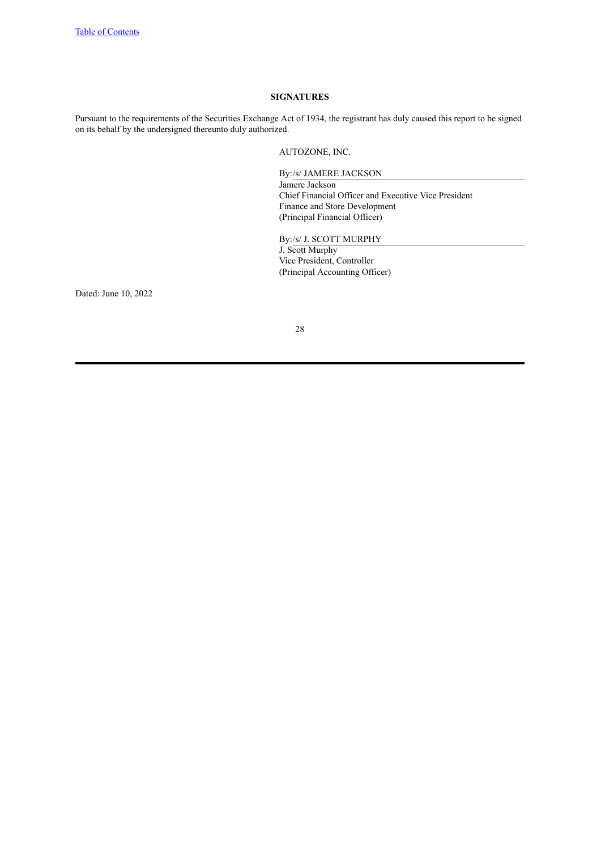# **SIGNATURES**

<span id="page-27-0"></span>Pursuant to the requirements of the Securities Exchange Act of 1934, the registrant has duly caused this report to be signed on its behalf by the undersigned thereunto duly authorized.

AUTOZONE, INC.

By:/s/ JAMERE JACKSON Jamere Jackson Chief Financial Officer and Executive Vice President Finance and Store Development

(Principal Financial Officer)

By:/s/ J. SCOTT MURPHY J. Scott Murphy Vice President, Controller (Principal Accounting Officer)

Dated: June 10, 2022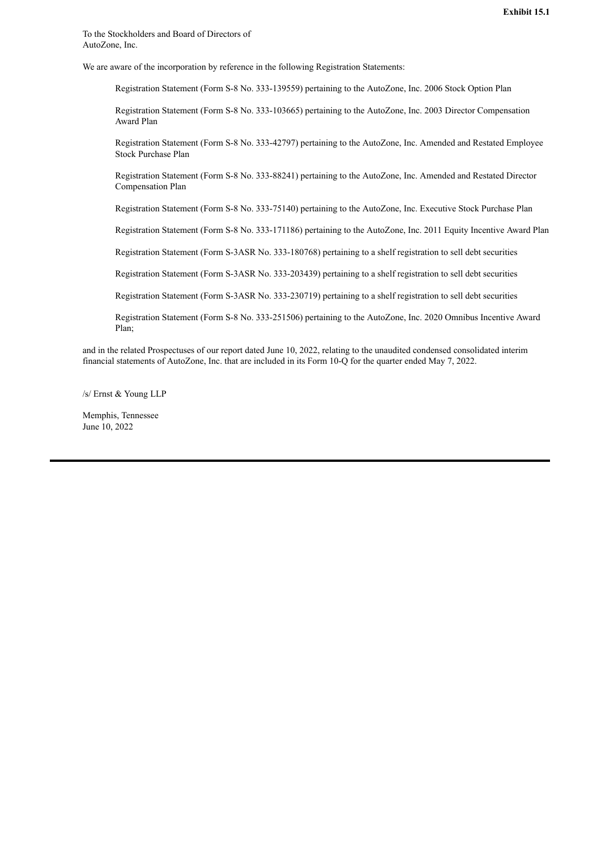<span id="page-28-0"></span>To the Stockholders and Board of Directors of AutoZone, Inc.

We are aware of the incorporation by reference in the following Registration Statements:

Registration Statement (Form S-8 No. 333-139559) pertaining to the AutoZone, Inc. 2006 Stock Option Plan

Registration Statement (Form S-8 No. 333-103665) pertaining to the AutoZone, Inc. 2003 Director Compensation Award Plan

Registration Statement (Form S-8 No. 333-42797) pertaining to the AutoZone, Inc. Amended and Restated Employee Stock Purchase Plan

Registration Statement (Form S-8 No. 333-88241) pertaining to the AutoZone, Inc. Amended and Restated Director Compensation Plan

Registration Statement (Form S-8 No. 333-75140) pertaining to the AutoZone, Inc. Executive Stock Purchase Plan

Registration Statement (Form S-8 No. 333-171186) pertaining to the AutoZone, Inc. 2011 Equity Incentive Award Plan

Registration Statement (Form S-3ASR No. 333-180768) pertaining to a shelf registration to sell debt securities

Registration Statement (Form S-3ASR No. 333-203439) pertaining to a shelf registration to sell debt securities

Registration Statement (Form S-3ASR No. 333-230719) pertaining to a shelf registration to sell debt securities

Registration Statement (Form S-8 No. 333-251506) pertaining to the AutoZone, Inc. 2020 Omnibus Incentive Award Plan;

and in the related Prospectuses of our report dated June 10, 2022, relating to the unaudited condensed consolidated interim financial statements of AutoZone, Inc. that are included in its Form 10-Q for the quarter ended May 7, 2022.

/s/ Ernst & Young LLP

Memphis, Tennessee June 10, 2022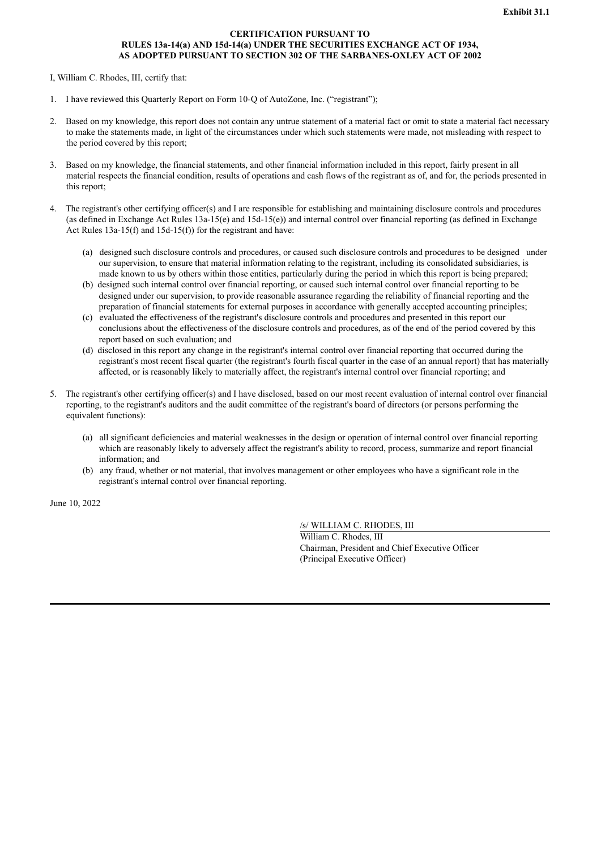# **CERTIFICATION PURSUANT TO RULES 13a-14(a) AND 15d-14(a) UNDER THE SECURITIES EXCHANGE ACT OF 1934, AS ADOPTED PURSUANT TO SECTION 302 OF THE SARBANES-OXLEY ACT OF 2002**

<span id="page-29-0"></span>I, William C. Rhodes, III, certify that:

- 1. I have reviewed this Quarterly Report on Form 10-Q of AutoZone, Inc. ("registrant");
- 2. Based on my knowledge, this report does not contain any untrue statement of a material fact or omit to state a material fact necessary to make the statements made, in light of the circumstances under which such statements were made, not misleading with respect to the period covered by this report;
- 3. Based on my knowledge, the financial statements, and other financial information included in this report, fairly present in all material respects the financial condition, results of operations and cash flows of the registrant as of, and for, the periods presented in this report;
- 4. The registrant's other certifying officer(s) and I are responsible for establishing and maintaining disclosure controls and procedures (as defined in Exchange Act Rules 13a-15(e) and 15d-15(e)) and internal control over financial reporting (as defined in Exchange Act Rules 13a-15(f) and 15d-15(f)) for the registrant and have:
	- (a) designed such disclosure controls and procedures, or caused such disclosure controls and procedures to be designed under our supervision, to ensure that material information relating to the registrant, including its consolidated subsidiaries, is made known to us by others within those entities, particularly during the period in which this report is being prepared;
	- (b) designed such internal control over financial reporting, or caused such internal control over financial reporting to be designed under our supervision, to provide reasonable assurance regarding the reliability of financial reporting and the preparation of financial statements for external purposes in accordance with generally accepted accounting principles;
	- (c) evaluated the effectiveness of the registrant's disclosure controls and procedures and presented in this report our conclusions about the effectiveness of the disclosure controls and procedures, as of the end of the period covered by this report based on such evaluation; and
	- (d) disclosed in this report any change in the registrant's internal control over financial reporting that occurred during the registrant's most recent fiscal quarter (the registrant's fourth fiscal quarter in the case of an annual report) that has materially affected, or is reasonably likely to materially affect, the registrant's internal control over financial reporting; and
- 5. The registrant's other certifying officer(s) and I have disclosed, based on our most recent evaluation of internal control over financial reporting, to the registrant's auditors and the audit committee of the registrant's board of directors (or persons performing the equivalent functions):
	- (a) all significant deficiencies and material weaknesses in the design or operation of internal control over financial reporting which are reasonably likely to adversely affect the registrant's ability to record, process, summarize and report financial information; and
	- (b) any fraud, whether or not material, that involves management or other employees who have a significant role in the registrant's internal control over financial reporting.

June 10, 2022

/s/ WILLIAM C. RHODES, III

William C. Rhodes, III Chairman, President and Chief Executive Officer (Principal Executive Officer)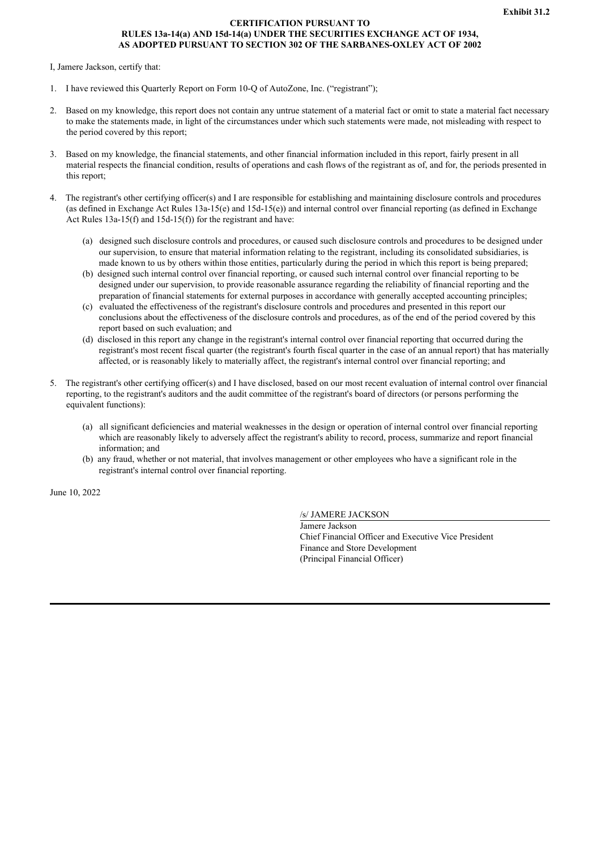# **CERTIFICATION PURSUANT TO RULES 13a-14(a) AND 15d-14(a) UNDER THE SECURITIES EXCHANGE ACT OF 1934, AS ADOPTED PURSUANT TO SECTION 302 OF THE SARBANES-OXLEY ACT OF 2002**

#### <span id="page-30-0"></span>I, Jamere Jackson, certify that:

- 1. I have reviewed this Quarterly Report on Form 10-Q of AutoZone, Inc. ("registrant");
- 2. Based on my knowledge, this report does not contain any untrue statement of a material fact or omit to state a material fact necessary to make the statements made, in light of the circumstances under which such statements were made, not misleading with respect to the period covered by this report;
- 3. Based on my knowledge, the financial statements, and other financial information included in this report, fairly present in all material respects the financial condition, results of operations and cash flows of the registrant as of, and for, the periods presented in this report;
- 4. The registrant's other certifying officer(s) and I are responsible for establishing and maintaining disclosure controls and procedures (as defined in Exchange Act Rules 13a-15(e) and 15d-15(e)) and internal control over financial reporting (as defined in Exchange Act Rules 13a-15(f) and 15d-15(f)) for the registrant and have:
	- (a) designed such disclosure controls and procedures, or caused such disclosure controls and procedures to be designed under our supervision, to ensure that material information relating to the registrant, including its consolidated subsidiaries, is made known to us by others within those entities, particularly during the period in which this report is being prepared;
	- (b) designed such internal control over financial reporting, or caused such internal control over financial reporting to be designed under our supervision, to provide reasonable assurance regarding the reliability of financial reporting and the preparation of financial statements for external purposes in accordance with generally accepted accounting principles;
	- (c) evaluated the effectiveness of the registrant's disclosure controls and procedures and presented in this report our conclusions about the effectiveness of the disclosure controls and procedures, as of the end of the period covered by this report based on such evaluation; and
	- (d) disclosed in this report any change in the registrant's internal control over financial reporting that occurred during the registrant's most recent fiscal quarter (the registrant's fourth fiscal quarter in the case of an annual report) that has materially affected, or is reasonably likely to materially affect, the registrant's internal control over financial reporting; and
- 5. The registrant's other certifying officer(s) and I have disclosed, based on our most recent evaluation of internal control over financial reporting, to the registrant's auditors and the audit committee of the registrant's board of directors (or persons performing the equivalent functions):
	- (a) all significant deficiencies and material weaknesses in the design or operation of internal control over financial reporting which are reasonably likely to adversely affect the registrant's ability to record, process, summarize and report financial information; and
	- (b) any fraud, whether or not material, that involves management or other employees who have a significant role in the registrant's internal control over financial reporting.

June 10, 2022

/s/ JAMERE JACKSON

Jamere Jackson Chief Financial Officer and Executive Vice President Finance and Store Development (Principal Financial Officer)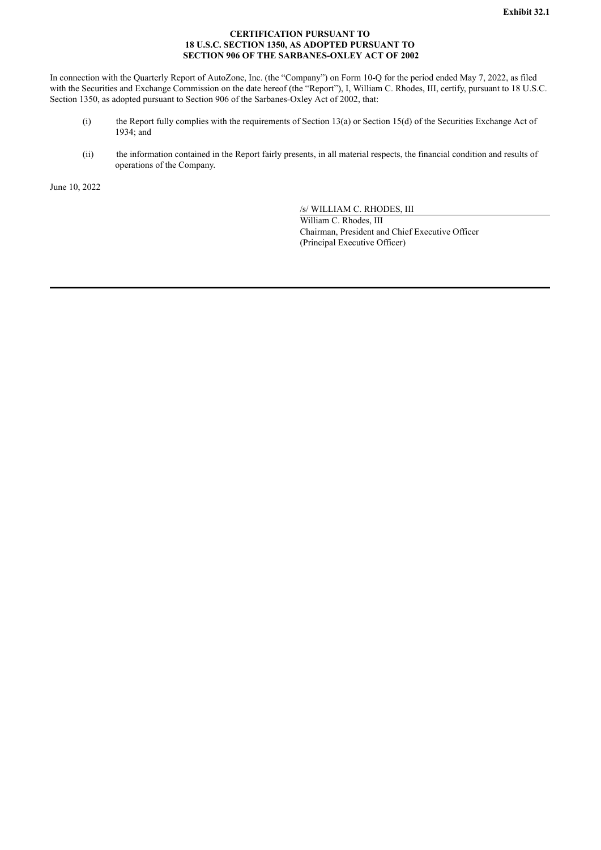# **CERTIFICATION PURSUANT TO 18 U.S.C. SECTION 1350, AS ADOPTED PURSUANT TO SECTION 906 OF THE SARBANES-OXLEY ACT OF 2002**

<span id="page-31-0"></span>In connection with the Quarterly Report of AutoZone, Inc. (the "Company") on Form 10-Q for the period ended May 7, 2022, as filed with the Securities and Exchange Commission on the date hereof (the "Report"), I, William C. Rhodes, III, certify, pursuant to 18 U.S.C. Section 1350, as adopted pursuant to Section 906 of the Sarbanes-Oxley Act of 2002, that:

- (i) the Report fully complies with the requirements of Section 13(a) or Section 15(d) of the Securities Exchange Act of 1934; and
- (ii) the information contained in the Report fairly presents, in all material respects, the financial condition and results of operations of the Company.

June 10, 2022

/s/ WILLIAM C. RHODES, III

William C. Rhodes, III Chairman, President and Chief Executive Officer (Principal Executive Officer)